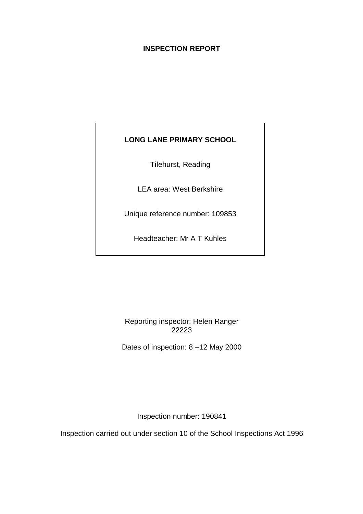# **INSPECTION REPORT**

# **LONG LANE PRIMARY SCHOOL**

Tilehurst, Reading

LEA area: West Berkshire

Unique reference number: 109853

Headteacher: Mr A T Kuhles

Reporting inspector: Helen Ranger 22223

Dates of inspection: 8 –12 May 2000

Inspection number: 190841

Inspection carried out under section 10 of the School Inspections Act 1996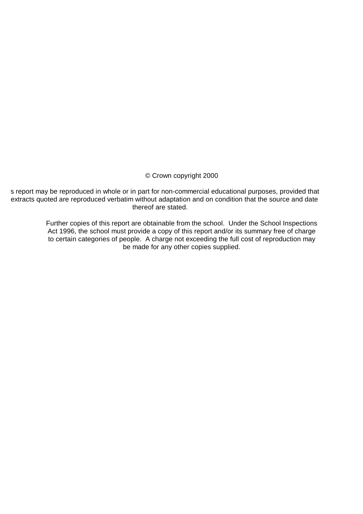## © Crown copyright 2000

s report may be reproduced in whole or in part for non-commercial educational purposes, provided that extracts quoted are reproduced verbatim without adaptation and on condition that the source and date thereof are stated.

> Further copies of this report are obtainable from the school. Under the School Inspections Act 1996, the school must provide a copy of this report and/or its summary free of charge to certain categories of people. A charge not exceeding the full cost of reproduction may be made for any other copies supplied.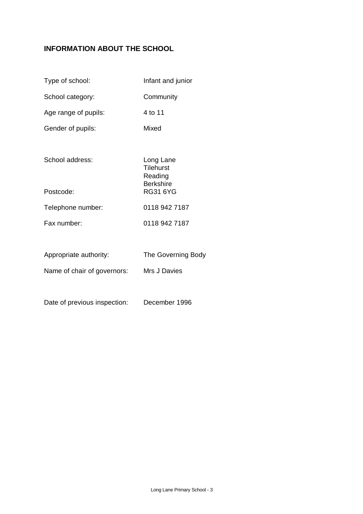# **INFORMATION ABOUT THE SCHOOL**

| Type of school:             | Infant and junior                                            |
|-----------------------------|--------------------------------------------------------------|
| School category:            | Community                                                    |
| Age range of pupils:        | 4 to 11                                                      |
| Gender of pupils:           | Mixed                                                        |
|                             |                                                              |
| School address:             | Long Lane<br><b>Tilehurst</b><br>Reading<br><b>Berkshire</b> |
| Postcode:                   | <b>RG31 6YG</b>                                              |
| Telephone number:           | 0118 942 7187                                                |
| Fax number:                 | 0118 942 7187                                                |
|                             |                                                              |
| Appropriate authority:      | The Governing Body                                           |
| Name of chair of governors: | Mrs J Davies                                                 |
|                             |                                                              |

Date of previous inspection: December 1996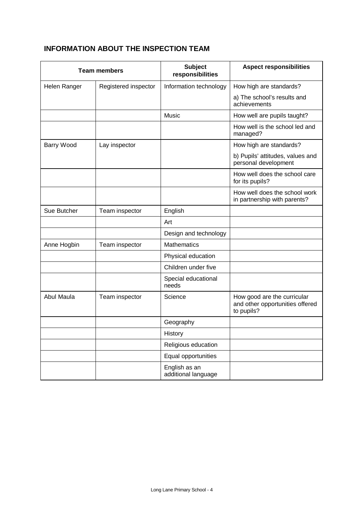# **INFORMATION ABOUT THE INSPECTION TEAM**

| <b>Team members</b> |                      | <b>Subject</b><br>responsibilities   | <b>Aspect responsibilities</b>                                               |  |  |
|---------------------|----------------------|--------------------------------------|------------------------------------------------------------------------------|--|--|
| Helen Ranger        | Registered inspector | Information technology               | How high are standards?                                                      |  |  |
|                     |                      |                                      | a) The school's results and<br>achievements                                  |  |  |
|                     |                      | Music                                | How well are pupils taught?                                                  |  |  |
|                     |                      |                                      | How well is the school led and<br>managed?                                   |  |  |
| <b>Barry Wood</b>   | Lay inspector        |                                      | How high are standards?                                                      |  |  |
|                     |                      |                                      | b) Pupils' attitudes, values and<br>personal development                     |  |  |
|                     |                      |                                      | How well does the school care<br>for its pupils?                             |  |  |
|                     |                      |                                      | How well does the school work<br>in partnership with parents?                |  |  |
| Sue Butcher         | Team inspector       | English                              |                                                                              |  |  |
|                     |                      | Art                                  |                                                                              |  |  |
|                     |                      | Design and technology                |                                                                              |  |  |
| Anne Hogbin         | Team inspector       | <b>Mathematics</b>                   |                                                                              |  |  |
|                     |                      | Physical education                   |                                                                              |  |  |
|                     |                      | Children under five                  |                                                                              |  |  |
|                     |                      | Special educational<br>needs         |                                                                              |  |  |
| Abul Maula          | Team inspector       | Science                              | How good are the curricular<br>and other opportunities offered<br>to pupils? |  |  |
|                     |                      | Geography                            |                                                                              |  |  |
|                     |                      | History                              |                                                                              |  |  |
|                     |                      | Religious education                  |                                                                              |  |  |
|                     |                      | Equal opportunities                  |                                                                              |  |  |
|                     |                      | English as an<br>additional language |                                                                              |  |  |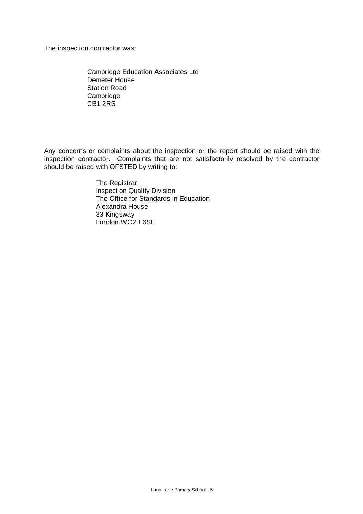The inspection contractor was:

Cambridge Education Associates Ltd Demeter House Station Road **Cambridge** CB1 2RS

Any concerns or complaints about the inspection or the report should be raised with the inspection contractor. Complaints that are not satisfactorily resolved by the contractor should be raised with OFSTED by writing to:

> The Registrar Inspection Quality Division The Office for Standards in Education Alexandra House 33 Kingsway London WC2B 6SE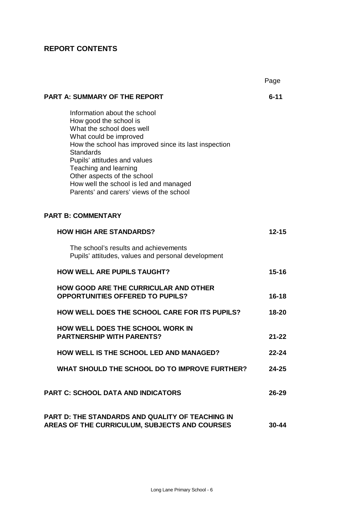# **REPORT CONTENTS**

|                                                                                                                                                                                                                                                                                                                                                                          | Page      |
|--------------------------------------------------------------------------------------------------------------------------------------------------------------------------------------------------------------------------------------------------------------------------------------------------------------------------------------------------------------------------|-----------|
| <b>PART A: SUMMARY OF THE REPORT</b>                                                                                                                                                                                                                                                                                                                                     | $6 - 11$  |
| Information about the school<br>How good the school is<br>What the school does well<br>What could be improved<br>How the school has improved since its last inspection<br><b>Standards</b><br>Pupils' attitudes and values<br>Teaching and learning<br>Other aspects of the school<br>How well the school is led and managed<br>Parents' and carers' views of the school |           |
| <b>PART B: COMMENTARY</b>                                                                                                                                                                                                                                                                                                                                                |           |
| <b>HOW HIGH ARE STANDARDS?</b>                                                                                                                                                                                                                                                                                                                                           | $12 - 15$ |
| The school's results and achievements<br>Pupils' attitudes, values and personal development                                                                                                                                                                                                                                                                              |           |
| <b>HOW WELL ARE PUPILS TAUGHT?</b>                                                                                                                                                                                                                                                                                                                                       | $15 - 16$ |
| <b>HOW GOOD ARE THE CURRICULAR AND OTHER</b><br><b>OPPORTUNITIES OFFERED TO PUPILS?</b>                                                                                                                                                                                                                                                                                  | $16 - 18$ |
| <b>HOW WELL DOES THE SCHOOL CARE FOR ITS PUPILS?</b>                                                                                                                                                                                                                                                                                                                     | $18 - 20$ |
| <b>HOW WELL DOES THE SCHOOL WORK IN</b><br><b>PARTNERSHIP WITH PARENTS?</b>                                                                                                                                                                                                                                                                                              | 21-22     |
| <b>HOW WELL IS THE SCHOOL LED AND MANAGED?</b>                                                                                                                                                                                                                                                                                                                           | 22-24     |
| WHAT SHOULD THE SCHOOL DO TO IMPROVE FURTHER?                                                                                                                                                                                                                                                                                                                            | $24 - 25$ |
| <b>PART C: SCHOOL DATA AND INDICATORS</b>                                                                                                                                                                                                                                                                                                                                | $26 - 29$ |
| <b>PART D: THE STANDARDS AND QUALITY OF TEACHING IN</b><br>AREAS OF THE CURRICULUM, SUBJECTS AND COURSES                                                                                                                                                                                                                                                                 | $30 - 44$ |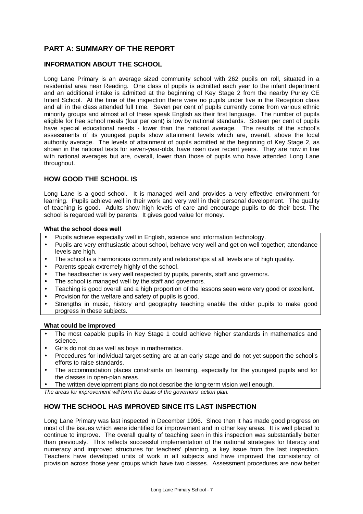# **PART A: SUMMARY OF THE REPORT**

## **INFORMATION ABOUT THE SCHOOL**

Long Lane Primary is an average sized community school with 262 pupils on roll, situated in a residential area near Reading. One class of pupils is admitted each year to the infant department and an additional intake is admitted at the beginning of Key Stage 2 from the nearby Purley CE Infant School. At the time of the inspection there were no pupils under five in the Reception class and all in the class attended full time. Seven per cent of pupils currently come from various ethnic minority groups and almost all of these speak English as their first language. The number of pupils eligible for free school meals (four per cent) is low by national standards. Sixteen per cent of pupils have special educational needs - lower than the national average. The results of the school's assessments of its youngest pupils show attainment levels which are, overall, above the local authority average. The levels of attainment of pupils admitted at the beginning of Key Stage 2, as shown in the national tests for seven-year-olds, have risen over recent years. They are now in line with national averages but are, overall, lower than those of pupils who have attended Long Lane throughout.

## **HOW GOOD THE SCHOOL IS**

Long Lane is a good school. It is managed well and provides a very effective environment for learning. Pupils achieve well in their work and very well in their personal development. The quality of teaching is good. Adults show high levels of care and encourage pupils to do their best. The school is regarded well by parents. It gives good value for money.

#### **What the school does well**

- Pupils achieve especially well in English, science and information technology.
- Pupils are very enthusiastic about school, behave very well and get on well together; attendance levels are high.
- The school is a harmonious community and relationships at all levels are of high quality.
- Parents speak extremely highly of the school.
- The headteacher is very well respected by pupils, parents, staff and governors.
- The school is managed well by the staff and governors.
- Teaching is good overall and a high proportion of the lessons seen were very good or excellent.
- Provision for the welfare and safety of pupils is good.
- Strengths in music, history and geography teaching enable the older pupils to make good progress in these subjects.

#### **What could be improved**

- The most capable pupils in Key Stage 1 could achieve higher standards in mathematics and science.
- Girls do not do as well as boys in mathematics.
- Procedures for individual target-setting are at an early stage and do not yet support the school's efforts to raise standards.
- The accommodation places constraints on learning, especially for the youngest pupils and for the classes in open-plan areas.
- The written development plans do not describe the long-term vision well enough.

*The areas for improvement will form the basis of the governors' action plan.*

## **HOW THE SCHOOL HAS IMPROVED SINCE ITS LAST INSPECTION**

Long Lane Primary was last inspected in December 1996. Since then it has made good progress on most of the issues which were identified for improvement and in other key areas. It is well placed to continue to improve. The overall quality of teaching seen in this inspection was substantially better than previously. This reflects successful implementation of the national strategies for literacy and numeracy and improved structures for teachers' planning, a key issue from the last inspection. Teachers have developed units of work in all subjects and have improved the consistency of provision across those year groups which have two classes. Assessment procedures are now better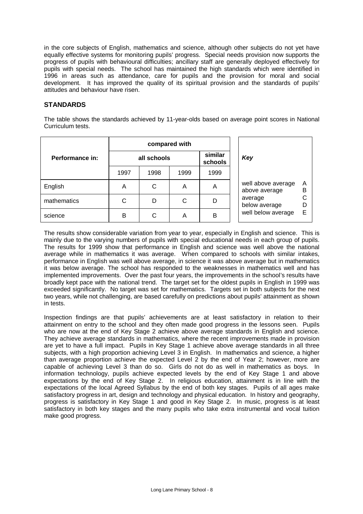in the core subjects of English, mathematics and science, although other subjects do not yet have equally effective systems for monitoring pupils' progress. Special needs provision now supports the progress of pupils with behavioural difficulties; ancillary staff are generally deployed effectively for pupils with special needs. The school has maintained the high standards which were identified in 1996 in areas such as attendance, care for pupils and the provision for moral and social development. It has improved the quality of its spiritual provision and the standards of pupils' attitudes and behaviour have risen.

## **STANDARDS**

The table shows the standards achieved by 11-year-olds based on average point scores in National Curriculum tests.

|                 | compared with |      |      |                    |                                     |        |  |
|-----------------|---------------|------|------|--------------------|-------------------------------------|--------|--|
| Performance in: | all schools   |      |      | similar<br>schools | Key                                 |        |  |
|                 | 1997          | 1998 | 1999 | 1999               |                                     |        |  |
| English         | A             | С    | A    | A                  | well above average<br>above average | Α<br>В |  |
| mathematics     | С             | D    | С    | D                  | average<br>below average            | С<br>D |  |
| science         | B             | C    | A    | B                  | well below average                  | E      |  |

The results show considerable variation from year to year, especially in English and science. This is mainly due to the varying numbers of pupils with special educational needs in each group of pupils. The results for 1999 show that performance in English and science was well above the national average while in mathematics it was average. When compared to schools with similar intakes, performance in English was well above average, in science it was above average but in mathematics it was below average. The school has responded to the weaknesses in mathematics well and has implemented improvements. Over the past four years, the improvements in the school's results have broadly kept pace with the national trend. The target set for the oldest pupils in English in 1999 was exceeded significantly. No target was set for mathematics. Targets set in both subjects for the next two years, while not challenging, are based carefully on predictions about pupils' attainment as shown in tests.

Inspection findings are that pupils' achievements are at least satisfactory in relation to their attainment on entry to the school and they often made good progress in the lessons seen. Pupils who are now at the end of Key Stage 2 achieve above average standards in English and science. They achieve average standards in mathematics, where the recent improvements made in provision are yet to have a full impact. Pupils in Key Stage 1 achieve above average standards in all three subjects, with a high proportion achieving Level 3 in English. In mathematics and science, a higher than average proportion achieve the expected Level 2 by the end of Year 2; however, more are capable of achieving Level 3 than do so. Girls do not do as well in mathematics as boys. In information technology, pupils achieve expected levels by the end of Key Stage 1 and above expectations by the end of Key Stage 2. In religious education, attainment is in line with the expectations of the local Agreed Syllabus by the end of both key stages. Pupils of all ages make satisfactory progress in art, design and technology and physical education. In history and geography, progress is satisfactory in Key Stage 1 and good in Key Stage 2. In music, progress is at least satisfactory in both key stages and the many pupils who take extra instrumental and vocal tuition make good progress.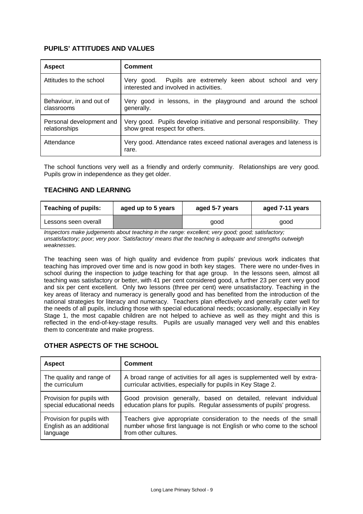# **PUPILS' ATTITUDES AND VALUES**

| <b>Aspect</b>                             | Comment                                                                                                  |
|-------------------------------------------|----------------------------------------------------------------------------------------------------------|
| Attitudes to the school                   | Very good. Pupils are extremely keen about school and very<br>interested and involved in activities.     |
| Behaviour, in and out of<br>classrooms    | Very good in lessons, in the playground and around the school<br>generally.                              |
| Personal development and<br>relationships | Very good. Pupils develop initiative and personal responsibility. They<br>show great respect for others. |
| Attendance                                | Very good. Attendance rates exceed national averages and lateness is<br>rare.                            |

The school functions very well as a friendly and orderly community. Relationships are very good. Pupils grow in independence as they get older.

## **TEACHING AND LEARNING**

| <b>Teaching of pupils:</b> | aged up to 5 years | aged 5-7 years | aged 7-11 years |
|----------------------------|--------------------|----------------|-----------------|
| Lessons seen overall       |                    | good           | good            |

*Inspectors make judgements about teaching in the range: excellent; very good; good; satisfactory; unsatisfactory; poor; very poor. 'Satisfactory' means that the teaching is adequate and strengths outweigh weaknesses.*

The teaching seen was of high quality and evidence from pupils' previous work indicates that teaching has improved over time and is now good in both key stages. There were no under-fives in school during the inspection to judge teaching for that age group. In the lessons seen, almost all teaching was satisfactory or better, with 41 per cent considered good, a further 23 per cent very good and six per cent excellent. Only two lessons (three per cent) were unsatisfactory. Teaching in the key areas of literacy and numeracy is generally good and has benefited from the introduction of the national strategies for literacy and numeracy. Teachers plan effectively and generally cater well for the needs of all pupils, including those with special educational needs; occasionally, especially in Key Stage 1, the most capable children are not helped to achieve as well as they might and this is reflected in the end-of-key-stage results. Pupils are usually managed very well and this enables them to concentrate and make progress.

## **OTHER ASPECTS OF THE SCHOOL**

| <b>Aspect</b>             | <b>Comment</b>                                                          |
|---------------------------|-------------------------------------------------------------------------|
| The quality and range of  | A broad range of activities for all ages is supplemented well by extra- |
| the curriculum            | curricular activities, especially for pupils in Key Stage 2.            |
| Provision for pupils with | Good provision generally, based on detailed, relevant individual        |
| special educational needs | education plans for pupils. Regular assessments of pupils' progress.    |
| Provision for pupils with | Teachers give appropriate consideration to the needs of the small       |
| English as an additional  | number whose first language is not English or who come to the school    |
| language                  | from other cultures.                                                    |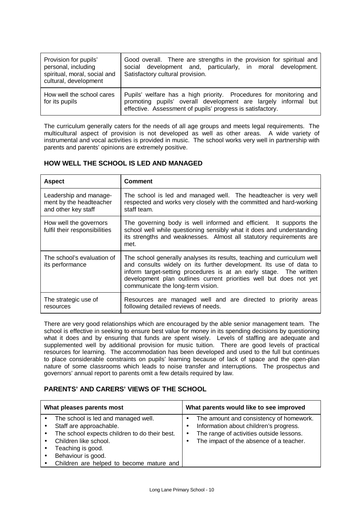| Provision for pupils'<br>personal, including<br>spiritual, moral, social and<br>cultural, development | Good overall. There are strengths in the provision for spiritual and<br>social development and, particularly, in moral development.<br>Satisfactory cultural provision.                            |
|-------------------------------------------------------------------------------------------------------|----------------------------------------------------------------------------------------------------------------------------------------------------------------------------------------------------|
| How well the school cares<br>for its pupils                                                           | Pupils' welfare has a high priority. Procedures for monitoring and<br>promoting pupils' overall development are largely informal but<br>effective. Assessment of pupils' progress is satisfactory. |

The curriculum generally caters for the needs of all age groups and meets legal requirements. The multicultural aspect of provision is not developed as well as other areas. A wide variety of instrumental and vocal activities is provided in music. The school works very well in partnership with parents and parents' opinions are extremely positive.

# **HOW WELL THE SCHOOL IS LED AND MANAGED**

| <b>Aspect</b>                                                            | <b>Comment</b>                                                                                                                                                                                                                                                                                                                 |
|--------------------------------------------------------------------------|--------------------------------------------------------------------------------------------------------------------------------------------------------------------------------------------------------------------------------------------------------------------------------------------------------------------------------|
| Leadership and manage-<br>ment by the headteacher<br>and other key staff | The school is led and managed well. The headteacher is very well<br>respected and works very closely with the committed and hard-working<br>staff team.                                                                                                                                                                        |
| How well the governors<br>fulfil their responsibilities                  | The governing body is well informed and efficient. It supports the<br>school well while questioning sensibly what it does and understanding<br>its strengths and weaknesses. Almost all statutory requirements are<br>met.                                                                                                     |
| The school's evaluation of<br>its performance                            | The school generally analyses its results, teaching and curriculum well<br>and consults widely on its further development. Its use of data to<br>inform target-setting procedures is at an early stage. The written<br>development plan outlines current priorities well but does not yet<br>communicate the long-term vision. |
| The strategic use of<br>resources                                        | Resources are managed well and are directed to priority areas<br>following detailed reviews of needs.                                                                                                                                                                                                                          |

There are very good relationships which are encouraged by the able senior management team. The school is effective in seeking to ensure best value for money in its spending decisions by questioning what it does and by ensuring that funds are spent wisely. Levels of staffing are adequate and supplemented well by additional provision for music tuition. There are good levels of practical resources for learning. The accommodation has been developed and used to the full but continues to place considerable constraints on pupils' learning because of lack of space and the open-plan nature of some classrooms which leads to noise transfer and interruptions. The prospectus and governors' annual report to parents omit a few details required by law.

## **PARENTS' AND CARERS' VIEWS OF THE SCHOOL**

| What pleases parents most |                                                                                                                                                                                                                                 | What parents would like to see improved                                                                                                                                               |  |  |
|---------------------------|---------------------------------------------------------------------------------------------------------------------------------------------------------------------------------------------------------------------------------|---------------------------------------------------------------------------------------------------------------------------------------------------------------------------------------|--|--|
|                           | The school is led and managed well.<br>Staff are approachable.<br>The school expects children to do their best.<br>Children like school.<br>Teaching is good.<br>Behaviour is good.<br>Children are helped to become mature and | The amount and consistency of homework.<br>Information about children's progress.<br>The range of activities outside lessons.<br>$\bullet$<br>The impact of the absence of a teacher. |  |  |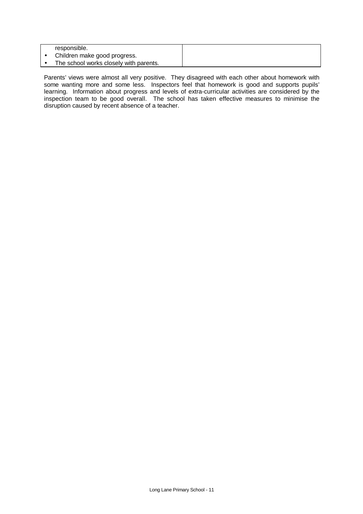| responsible.                           |  |
|----------------------------------------|--|
| Children make good progress.           |  |
| The school works closely with parents. |  |

Parents' views were almost all very positive. They disagreed with each other about homework with some wanting more and some less. Inspectors feel that homework is good and supports pupils' learning. Information about progress and levels of extra-curricular activities are considered by the inspection team to be good overall. The school has taken effective measures to minimise the disruption caused by recent absence of a teacher.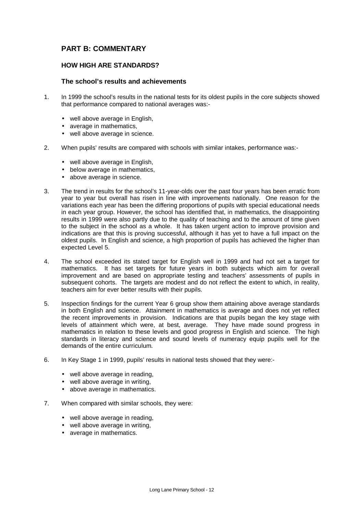# **PART B: COMMENTARY**

## **HOW HIGH ARE STANDARDS?**

## **The school's results and achievements**

- 1. In 1999 the school's results in the national tests for its oldest pupils in the core subjects showed that performance compared to national averages was:-
	- well above average in English,
	- average in mathematics,
	- well above average in science.
- 2. When pupils' results are compared with schools with similar intakes, performance was:-
	- well above average in English,
	- below average in mathematics,
	- above average in science.
- 3. The trend in results for the school's 11-year-olds over the past four years has been erratic from year to year but overall has risen in line with improvements nationally. One reason for the variations each year has been the differing proportions of pupils with special educational needs in each year group. However, the school has identified that, in mathematics, the disappointing results in 1999 were also partly due to the quality of teaching and to the amount of time given to the subject in the school as a whole. It has taken urgent action to improve provision and indications are that this is proving successful, although it has yet to have a full impact on the oldest pupils. In English and science, a high proportion of pupils has achieved the higher than expected Level 5.
- 4. The school exceeded its stated target for English well in 1999 and had not set a target for mathematics. It has set targets for future years in both subjects which aim for overall improvement and are based on appropriate testing and teachers' assessments of pupils in subsequent cohorts. The targets are modest and do not reflect the extent to which, in reality, teachers aim for ever better results with their pupils.
- 5. Inspection findings for the current Year 6 group show them attaining above average standards in both English and science. Attainment in mathematics is average and does not yet reflect the recent improvements in provision. Indications are that pupils began the key stage with levels of attainment which were, at best, average. They have made sound progress in mathematics in relation to these levels and good progress in English and science. The high standards in literacy and science and sound levels of numeracy equip pupils well for the demands of the entire curriculum.
- 6. In Key Stage 1 in 1999, pupils' results in national tests showed that they were:-
	- well above average in reading,
	- well above average in writing,
	- above average in mathematics.
- 7. When compared with similar schools, they were:
	- well above average in reading.
	- well above average in writing,
	- average in mathematics.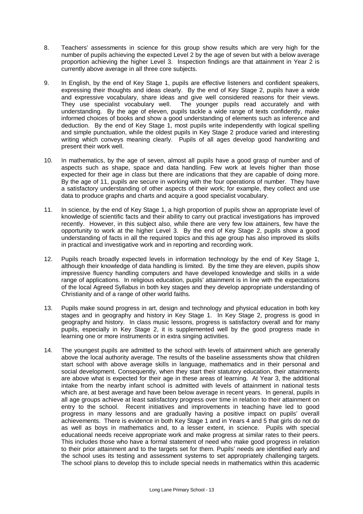- 8. Teachers' assessments in science for this group show results which are very high for the number of pupils achieving the expected Level 2 by the age of seven but with a below average proportion achieving the higher Level 3. Inspection findings are that attainment in Year 2 is currently above average in all three core subjects.
- 9. In English, by the end of Key Stage 1, pupils are effective listeners and confident speakers, expressing their thoughts and ideas clearly. By the end of Key Stage 2, pupils have a wide and expressive vocabulary, share ideas and give well considered reasons for their views. They use specialist vocabulary well. The younger pupils read accurately and with understanding. By the age of eleven, pupils tackle a wide range of texts confidently, make informed choices of books and show a good understanding of elements such as inference and deduction. By the end of Key Stage 1, most pupils write independently with logical spelling and simple punctuation, while the oldest pupils in Key Stage 2 produce varied and interesting writing which conveys meaning clearly. Pupils of all ages develop good handwriting and present their work well.
- 10. In mathematics, by the age of seven, almost all pupils have a good grasp of number and of aspects such as shape, space and data handling. Few work at levels higher than those expected for their age in class but there are indications that they are capable of doing more. By the age of 11, pupils are secure in working with the four operations of number. They have a satisfactory understanding of other aspects of their work; for example, they collect and use data to produce graphs and charts and acquire a good specialist vocabulary.
- 11. In science, by the end of Key Stage 1, a high proportion of pupils show an appropriate level of knowledge of scientific facts and their ability to carry out practical investigations has improved recently. However, in this subject also, while there are very few low attainers, few have the opportunity to work at the higher Level 3. By the end of Key Stage 2, pupils show a good understanding of facts in all the required topics and this age group has also improved its skills in practical and investigative work and in reporting and recording work.
- 12. Pupils reach broadly expected levels in information technology by the end of Key Stage 1, although their knowledge of data handling is limited. By the time they are eleven, pupils show impressive fluency handling computers and have developed knowledge and skills in a wide range of applications. In religious education, pupils' attainment is in line with the expectations of the local Agreed Syllabus in both key stages and they develop appropriate understanding of Christianity and of a range of other world faiths.
- 13. Pupils make sound progress in art, design and technology and physical education in both key stages and in geography and history in Key Stage 1. In Key Stage 2, progress is good in geography and history. In class music lessons, progress is satisfactory overall and for many pupils, especially in Key Stage 2, it is supplemented well by the good progress made in learning one or more instruments or in extra singing activities.
- 14. The youngest pupils are admitted to the school with levels of attainment which are generally above the local authority average. The results of the baseline assessments show that children start school with above average skills in language, mathematics and in their personal and social development. Consequently, when they start their statutory education, their attainments are above what is expected for their age in these areas of learning. At Year 3, the additional intake from the nearby infant school is admitted with levels of attainment in national tests which are, at best average and have been below average in recent years. In general, pupils in all age groups achieve at least satisfactory progress over time in relation to their attainment on entry to the school. Recent initiatives and improvements in teaching have led to good progress in many lessons and are gradually having a positive impact on pupils' overall achievements. There is evidence in both Key Stage 1 and in Years 4 and 5 that girls do not do as well as boys in mathematics and, to a lesser extent, in science. Pupils with special educational needs receive appropriate work and make progress at similar rates to their peers. This includes those who have a formal statement of need who make good progress in relation to their prior attainment and to the targets set for them. Pupils' needs are identified early and the school uses its testing and assessment systems to set appropriately challenging targets. The school plans to develop this to include special needs in mathematics within this academic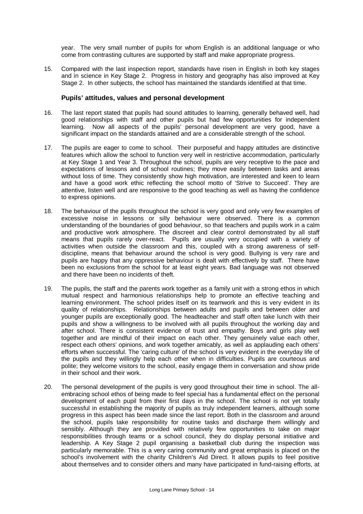year. The very small number of pupils for whom English is an additional language or who come from contrasting cultures are supported by staff and make appropriate progress.

15. Compared with the last inspection report, standards have risen in English in both key stages and in science in Key Stage 2. Progress in history and geography has also improved at Key Stage 2. In other subjects, the school has maintained the standards identified at that time.

## **Pupils' attitudes, values and personal development**

- 16. The last report stated that pupils had sound attitudes to learning, generally behaved well, had good relationships with staff and other pupils but had few opportunities for independent learning. Now all aspects of the pupils' personal development are very good, have a significant impact on the standards attained and are a considerable strength of the school.
- 17. The pupils are eager to come to school. Their purposeful and happy attitudes are distinctive features which allow the school to function very well in restrictive accommodation, particularly at Key Stage 1 and Year 3. Throughout the school, pupils are very receptive to the pace and expectations of lessons and of school routines; they move easily between tasks and areas without loss of time. They consistently show high motivation, are interested and keen to learn and have a good work ethic reflecting the school motto of 'Strive to Succeed'. They are attentive, listen well and are responsive to the good teaching as well as having the confidence to express opinions.
- 18. The behaviour of the pupils throughout the school is very good and only very few examples of excessive noise in lessons or silly behaviour were observed. There is a common understanding of the boundaries of good behaviour, so that teachers and pupils work in a calm and productive work atmosphere. The discreet and clear control demonstrated by all staff means that pupils rarely over-react. Pupils are usually very occupied with a variety of activities when outside the classroom and this, coupled with a strong awareness of selfdiscipline, means that behaviour around the school is very good. Bullying is very rare and pupils are happy that any oppressive behaviour is dealt with effectively by staff. There have been no exclusions from the school for at least eight years. Bad language was not observed and there have been no incidents of theft.
- 19. The pupils, the staff and the parents work together as a family unit with a strong ethos in which mutual respect and harmonious relationships help to promote an effective teaching and learning environment. The school prides itself on its teamwork and this is very evident in its quality of relationships. Relationships between adults and pupils and between older and younger pupils are exceptionally good. The headteacher and staff often take lunch with their pupils and show a willingness to be involved with all pupils throughout the working day and after school. There is consistent evidence of trust and empathy. Boys and girls play well together and are mindful of their impact on each other. They genuinely value each other, respect each others' opinions, and work together amicably, as well as applauding each others' efforts when successful. The 'caring culture' of the school is very evident in the everyday life of the pupils and they willingly help each other when in difficulties. Pupils are courteous and polite; they welcome visitors to the school, easily engage them in conversation and show pride in their school and their work.
- 20. The personal development of the pupils is very good throughout their time in school. The allembracing school ethos of being made to feel special has a fundamental effect on the personal development of each pupil from their first days in the school. The school is not yet totally successful in establishing the majority of pupils as truly independent learners, although some progress in this aspect has been made since the last report. Both in the classroom and around the school, pupils take responsibility for routine tasks and discharge them willingly and sensibly. Although they are provided with relatively few opportunities to take on major responsibilities through teams or a school council, they do display personal initiative and leadership. A Key Stage 2 pupil organising a basketball club during the inspection was particularly memorable. This is a very caring community and great emphasis is placed on the school's involvement with the charity Children's Aid Direct. It allows pupils to feel positive about themselves and to consider others and many have participated in fund-raising efforts, at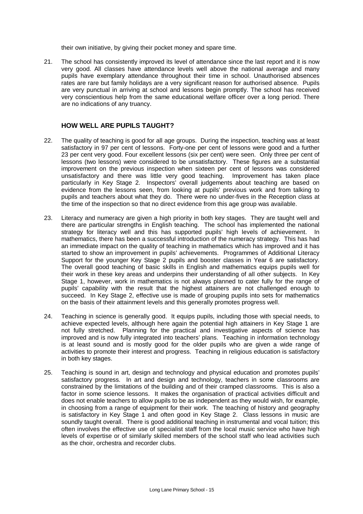their own initiative, by giving their pocket money and spare time.

21. The school has consistently improved its level of attendance since the last report and it is now very good. All classes have attendance levels well above the national average and many pupils have exemplary attendance throughout their time in school. Unauthorised absences rates are rare but family holidays are a very significant reason for authorised absence. Pupils are very punctual in arriving at school and lessons begin promptly. The school has received very conscientious help from the same educational welfare officer over a long period. There are no indications of any truancy.

## **HOW WELL ARE PUPILS TAUGHT?**

- 22. The quality of teaching is good for all age groups. During the inspection, teaching was at least satisfactory in 97 per cent of lessons. Forty-one per cent of lessons were good and a further 23 per cent very good. Four excellent lessons (six per cent) were seen. Only three per cent of lessons (two lessons) were considered to be unsatisfactory. These figures are a substantial improvement on the previous inspection when sixteen per cent of lessons was considered unsatisfactory and there was little very good teaching. Improvement has taken place particularly in Key Stage 2. Inspectors' overall judgements about teaching are based on evidence from the lessons seen, from looking at pupils' previous work and from talking to pupils and teachers about what they do. There were no under-fives in the Reception class at the time of the inspection so that no direct evidence from this age group was available.
- 23. Literacy and numeracy are given a high priority in both key stages. They are taught well and there are particular strengths in English teaching. The school has implemented the national strategy for literacy well and this has supported pupils' high levels of achievement. In mathematics, there has been a successful introduction of the numeracy strategy. This has had an immediate impact on the quality of teaching in mathematics which has improved and it has started to show an improvement in pupils' achievements. Programmes of Additional Literacy Support for the younger Key Stage 2 pupils and booster classes in Year 6 are satisfactory. The overall good teaching of basic skills in English and mathematics equips pupils well for their work in these key areas and underpins their understanding of all other subjects. In Key Stage 1, however, work in mathematics is not always planned to cater fully for the range of pupils' capability with the result that the highest attainers are not challenged enough to succeed. In Key Stage 2, effective use is made of grouping pupils into sets for mathematics on the basis of their attainment levels and this generally promotes progress well.
- 24. Teaching in science is generally good. It equips pupils, including those with special needs, to achieve expected levels, although here again the potential high attainers in Key Stage 1 are not fully stretched. Planning for the practical and investigative aspects of science has improved and is now fully integrated into teachers' plans. Teaching in information technology is at least sound and is mostly good for the older pupils who are given a wide range of activities to promote their interest and progress. Teaching in religious education is satisfactory in both key stages.
- 25. Teaching is sound in art, design and technology and physical education and promotes pupils' satisfactory progress. In art and design and technology, teachers in some classrooms are constrained by the limitations of the building and of their cramped classrooms. This is also a factor in some science lessons. It makes the organisation of practical activities difficult and does not enable teachers to allow pupils to be as independent as they would wish, for example, in choosing from a range of equipment for their work. The teaching of history and geography is satisfactory in Key Stage 1 and often good in Key Stage 2. Class lessons in music are soundly taught overall. There is good additional teaching in instrumental and vocal tuition; this often involves the effective use of specialist staff from the local music service who have high levels of expertise or of similarly skilled members of the school staff who lead activities such as the choir, orchestra and recorder clubs.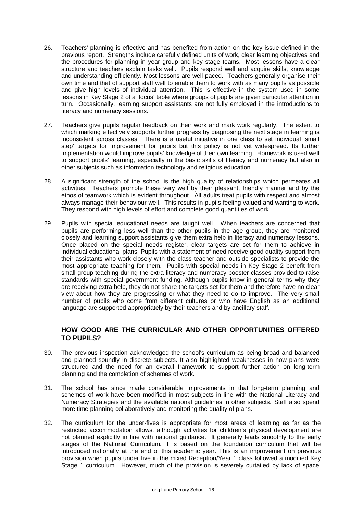- 26. Teachers' planning is effective and has benefited from action on the key issue defined in the previous report. Strengths include carefully defined units of work, clear learning objectives and the procedures for planning in year group and key stage teams. Most lessons have a clear structure and teachers explain tasks well. Pupils respond well and acquire skills, knowledge and understanding efficiently. Most lessons are well paced. Teachers generally organise their own time and that of support staff well to enable them to work with as many pupils as possible and give high levels of individual attention. This is effective in the system used in some lessons in Key Stage 2 of a 'focus' table where groups of pupils are given particular attention in turn. Occasionally, learning support assistants are not fully employed in the introductions to literacy and numeracy sessions.
- 27. Teachers give pupils regular feedback on their work and mark work regularly. The extent to which marking effectively supports further progress by diagnosing the next stage in learning is inconsistent across classes. There is a useful initiative in one class to set individual 'small step' targets for improvement for pupils but this policy is not yet widespread. Its further implementation would improve pupils' knowledge of their own learning. Homework is used well to support pupils' learning, especially in the basic skills of literacy and numeracy but also in other subjects such as information technology and religious education.
- 28. A significant strength of the school is the high quality of relationships which permeates all activities. Teachers promote these very well by their pleasant, friendly manner and by the ethos of teamwork which is evident throughout. All adults treat pupils with respect and almost always manage their behaviour well. This results in pupils feeling valued and wanting to work. They respond with high levels of effort and complete good quantities of work.
- 29. Pupils with special educational needs are taught well. When teachers are concerned that pupils are performing less well than the other pupils in the age group, they are monitored closely and learning support assistants give them extra help in literacy and numeracy lessons. Once placed on the special needs register, clear targets are set for them to achieve in individual educational plans. Pupils with a statement of need receive good quality support from their assistants who work closely with the class teacher and outside specialists to provide the most appropriate teaching for them. Pupils with special needs in Key Stage 2 benefit from small group teaching during the extra literacy and numeracy booster classes provided to raise standards with special government funding. Although pupils know in general terms why they are receiving extra help, they do not share the targets set for them and therefore have no clear view about how they are progressing or what they need to do to improve. The very small number of pupils who come from different cultures or who have English as an additional language are supported appropriately by their teachers and by ancillary staff.

## **HOW GOOD ARE THE CURRICULAR AND OTHER OPPORTUNITIES OFFERED TO PUPILS?**

- 30. The previous inspection acknowledged the school's curriculum as being broad and balanced and planned soundly in discrete subjects. It also highlighted weaknesses in how plans were structured and the need for an overall framework to support further action on long-term planning and the completion of schemes of work.
- 31. The school has since made considerable improvements in that long-term planning and schemes of work have been modified in most subjects in line with the National Literacy and Numeracy Strategies and the available national guidelines in other subjects. Staff also spend more time planning collaboratively and monitoring the quality of plans.
- 32. The curriculum for the under-fives is appropriate for most areas of learning as far as the restricted accommodation allows, although activities for children's physical development are not planned explicitly in line with national guidance. It generally leads smoothly to the early stages of the National Curriculum. It is based on the foundation curriculum that will be introduced nationally at the end of this academic year. This is an improvement on previous provision when pupils under five in the mixed Reception/Year 1 class followed a modified Key Stage 1 curriculum. However, much of the provision is severely curtailed by lack of space.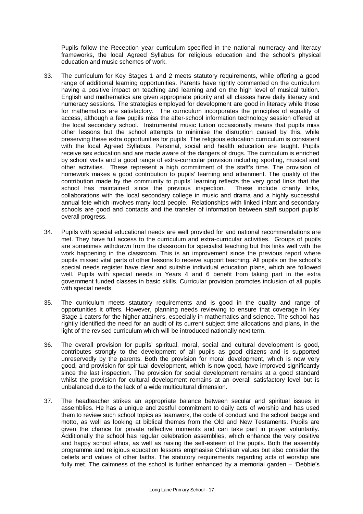Pupils follow the Reception year curriculum specified in the national numeracy and literacy frameworks, the local Agreed Syllabus for religious education and the school's physical education and music schemes of work.

- 33. The curriculum for Key Stages 1 and 2 meets statutory requirements, while offering a good range of additional learning opportunities. Parents have rightly commented on the curriculum having a positive impact on teaching and learning and on the high level of musical tuition. English and mathematics are given appropriate priority and all classes have daily literacy and numeracy sessions. The strategies employed for development are good in literacy while those for mathematics are satisfactory. The curriculum incorporates the principles of equality of access, although a few pupils miss the after-school information technology session offered at the local secondary school. Instrumental music tuition occasionally means that pupils miss other lessons but the school attempts to minimise the disruption caused by this, while preserving these extra opportunities for pupils. The religious education curriculum is consistent with the local Agreed Syllabus. Personal, social and health education are taught. Pupils receive sex education and are made aware of the dangers of drugs. The curriculum is enriched by school visits and a good range of extra-curricular provision including sporting, musical and other activities. These represent a high commitment of the staff's time. The provision of homework makes a good contribution to pupils' learning and attainment. The quality of the contribution made by the community to pupils' learning reflects the very good links that the school has maintained since the previous inspection. These include charity links, collaborations with the local secondary college in music and drama and a highly successful annual fete which involves many local people. Relationships with linked infant and secondary schools are good and contacts and the transfer of information between staff support pupils' overall progress.
- 34. Pupils with special educational needs are well provided for and national recommendations are met. They have full access to the curriculum and extra-curricular activities. Groups of pupils are sometimes withdrawn from the classroom for specialist teaching but this links well with the work happening in the classroom. This is an improvement since the previous report where pupils missed vital parts of other lessons to receive support teaching. All pupils on the school's special needs register have clear and suitable individual education plans, which are followed well. Pupils with special needs in Years 4 and 6 benefit from taking part in the extra government funded classes in basic skills. Curricular provision promotes inclusion of all pupils with special needs.
- 35. The curriculum meets statutory requirements and is good in the quality and range of opportunities it offers. However, planning needs reviewing to ensure that coverage in Key Stage 1 caters for the higher attainers, especially in mathematics and science. The school has rightly identified the need for an audit of its current subject time allocations and plans, in the light of the revised curriculum which will be introduced nationally next term.
- 36. The overall provision for pupils' spiritual, moral, social and cultural development is good, contributes strongly to the development of all pupils as good citizens and is supported unreservedly by the parents. Both the provision for moral development, which is now very good, and provision for spiritual development, which is now good, have improved significantly since the last inspection. The provision for social development remains at a good standard whilst the provision for cultural development remains at an overall satisfactory level but is unbalanced due to the lack of a wide multicultural dimension.
- 37. The headteacher strikes an appropriate balance between secular and spiritual issues in assemblies. He has a unique and zestful commitment to daily acts of worship and has used them to review such school topics as teamwork, the code of conduct and the school badge and motto, as well as looking at biblical themes from the Old and New Testaments. Pupils are given the chance for private reflective moments and can take part in prayer voluntarily. Additionally the school has regular celebration assemblies, which enhance the very positive and happy school ethos, as well as raising the self-esteem of the pupils. Both the assembly programme and religious education lessons emphasise Christian values but also consider the beliefs and values of other faiths. The statutory requirements regarding acts of worship are fully met. The calmness of the school is further enhanced by a memorial garden – 'Debbie's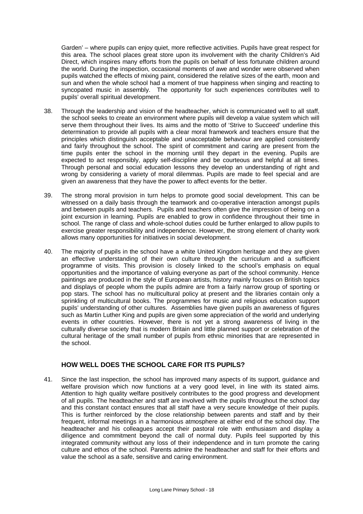Garden' – where pupils can enjoy quiet, more reflective activities. Pupils have great respect for this area. The school places great store upon its involvement with the charity Children's Aid Direct, which inspires many efforts from the pupils on behalf of less fortunate children around the world. During the inspection, occasional moments of awe and wonder were observed when pupils watched the effects of mixing paint, considered the relative sizes of the earth, moon and sun and when the whole school had a moment of true happiness when singing and reacting to syncopated music in assembly. The opportunity for such experiences contributes well to pupils' overall spiritual development.

- 38. Through the leadership and vision of the headteacher, which is communicated well to all staff, the school seeks to create an environment where pupils will develop a value system which will serve them throughout their lives. Its aims and the motto of 'Strive to Succeed' underline this determination to provide all pupils with a clear moral framework and teachers ensure that the principles which distinguish acceptable and unacceptable behaviour are applied consistently and fairly throughout the school. The spirit of commitment and caring are present from the time pupils enter the school in the morning until they depart in the evening. Pupils are expected to act responsibly, apply self-discipline and be courteous and helpful at all times. Through personal and social education lessons they develop an understanding of right and wrong by considering a variety of moral dilemmas. Pupils are made to feel special and are given an awareness that they have the power to affect events for the better.
- 39. The strong moral provision in turn helps to promote good social development. This can be witnessed on a daily basis through the teamwork and co-operative interaction amongst pupils and between pupils and teachers. Pupils and teachers often give the impression of being on a joint excursion in learning. Pupils are enabled to grow in confidence throughout their time in school. The range of class and whole-school duties could be further enlarged to allow pupils to exercise greater responsibility and independence. However, the strong element of charity work allows many opportunities for initiatives in social development.
- 40. The majority of pupils in the school have a white United Kingdom heritage and they are given an effective understanding of their own culture through the curriculum and a sufficient programme of visits. This provision is closely linked to the school's emphasis on equal opportunities and the importance of valuing everyone as part of the school community. Hence paintings are produced in the style of European artists, history mainly focuses on British topics and displays of people whom the pupils admire are from a fairly narrow group of sporting or pop stars. The school has no multicultural policy at present and the libraries contain only a sprinkling of multicultural books. The programmes for music and religious education support pupils' understanding of other cultures. Assemblies have given pupils an awareness of figures such as Martin Luther King and pupils are given some appreciation of the world and underlying events in other countries. However, there is not yet a strong awareness of living in the culturally diverse society that is modern Britain and little planned support or celebration of the cultural heritage of the small number of pupils from ethnic minorities that are represented in the school.

## **HOW WELL DOES THE SCHOOL CARE FOR ITS PUPILS?**

41. Since the last inspection, the school has improved many aspects of its support, guidance and welfare provision which now functions at a very good level, in line with its stated aims. Attention to high quality welfare positively contributes to the good progress and development of all pupils. The headteacher and staff are involved with the pupils throughout the school day and this constant contact ensures that all staff have a very secure knowledge of their pupils. This is further reinforced by the close relationship between parents and staff and by their frequent, informal meetings in a harmonious atmosphere at either end of the school day. The headteacher and his colleagues accept their pastoral role with enthusiasm and display a diligence and commitment beyond the call of normal duty. Pupils feel supported by this integrated community without any loss of their independence and in turn promote the caring culture and ethos of the school. Parents admire the headteacher and staff for their efforts and value the school as a safe, sensitive and caring environment.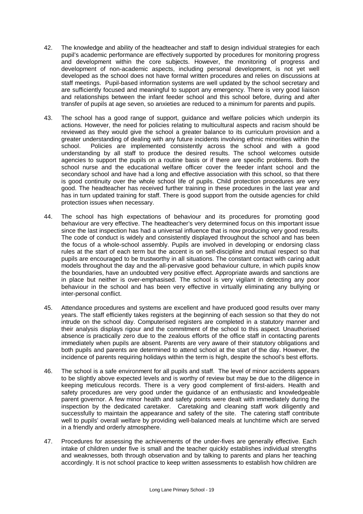- 42. The knowledge and ability of the headteacher and staff to design individual strategies for each pupil's academic performance are effectively supported by procedures for monitoring progress and development within the core subjects. However, the monitoring of progress and development of non-academic aspects, including personal development, is not yet well developed as the school does not have formal written procedures and relies on discussions at staff meetings. Pupil-based information systems are well updated by the school secretary and are sufficiently focused and meaningful to support any emergency. There is very good liaison and relationships between the infant feeder school and this school before, during and after transfer of pupils at age seven, so anxieties are reduced to a minimum for parents and pupils.
- 43. The school has a good range of support, guidance and welfare policies which underpin its actions. However, the need for policies relating to multicultural aspects and racism should be reviewed as they would give the school a greater balance to its curriculum provision and a greater understanding of dealing with any future incidents involving ethnic minorities within the school. Policies are implemented consistently across the school and with a good understanding by all staff to produce the desired results. The school welcomes outside agencies to support the pupils on a routine basis or if there are specific problems. Both the school nurse and the educational welfare officer cover the feeder infant school and the secondary school and have had a long and effective association with this school, so that there is good continuity over the whole school life of pupils. Child protection procedures are very good. The headteacher has received further training in these procedures in the last year and has in turn updated training for staff. There is good support from the outside agencies for child protection issues when necessary.
- 44. The school has high expectations of behaviour and its procedures for promoting good behaviour are very effective. The headteacher's very determined focus on this important issue since the last inspection has had a universal influence that is now producing very good results. The code of conduct is widely and consistently displayed throughout the school and has been the focus of a whole-school assembly. Pupils are involved in developing or endorsing class rules at the start of each term but the accent is on self-discipline and mutual respect so that pupils are encouraged to be trustworthy in all situations. The constant contact with caring adult models throughout the day and the all-pervasive good behaviour culture, in which pupils know the boundaries, have an undoubted very positive effect. Appropriate awards and sanctions are in place but neither is over-emphasised. The school is very vigilant in detecting any poor behaviour in the school and has been very effective in virtually eliminating any bullying or inter-personal conflict.
- 45. Attendance procedures and systems are excellent and have produced good results over many years. The staff efficiently takes registers at the beginning of each session so that they do not intrude on the school day. Computerised registers are completed in a statutory manner and their analysis displays rigour and the commitment of the school to this aspect. Unauthorised absence is practically zero due to the zealous efforts of the office staff in contacting parents immediately when pupils are absent. Parents are very aware of their statutory obligations and both pupils and parents are determined to attend school at the start of the day. However, the incidence of parents requiring holidays within the term is high, despite the school's best efforts.
- 46. The school is a safe environment for all pupils and staff. The level of minor accidents appears to be slightly above expected levels and is worthy of review but may be due to the diligence in keeping meticulous records. There is a very good complement of first-aiders. Health and safety procedures are very good under the guidance of an enthusiastic and knowledgeable parent governor. A few minor health and safety points were dealt with immediately during the inspection by the dedicated caretaker. Caretaking and cleaning staff work diligently and successfully to maintain the appearance and safety of the site. The catering staff contribute well to pupils' overall welfare by providing well-balanced meals at lunchtime which are served in a friendly and orderly atmosphere.
- 47. Procedures for assessing the achievements of the under-fives are generally effective. Each intake of children under five is small and the teacher quickly establishes individual strengths and weaknesses, both through observation and by talking to parents and plans her teaching accordingly. It is not school practice to keep written assessments to establish how children are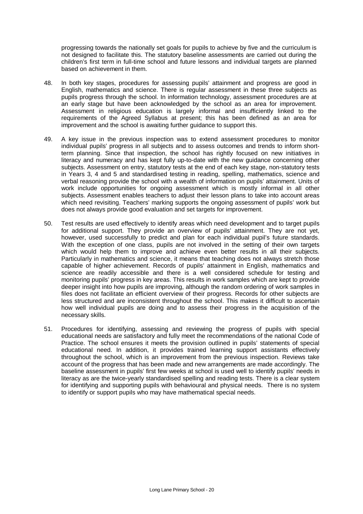progressing towards the nationally set goals for pupils to achieve by five and the curriculum is not designed to facilitate this. The statutory baseline assessments are carried out during the children's first term in full-time school and future lessons and individual targets are planned based on achievement in them.

- 48. In both key stages, procedures for assessing pupils' attainment and progress are good in English, mathematics and science. There is regular assessment in these three subjects as pupils progress through the school. In information technology, assessment procedures are at an early stage but have been acknowledged by the school as an area for improvement. Assessment in religious education is largely informal and insufficiently linked to the requirements of the Agreed Syllabus at present; this has been defined as an area for improvement and the school is awaiting further guidance to support this.
- 49. A key issue in the previous inspection was to extend assessment procedures to monitor individual pupils' progress in all subjects and to assess outcomes and trends to inform shortterm planning. Since that inspection, the school has rightly focused on new initiatives in literacy and numeracy and has kept fully up-to-date with the new guidance concerning other subjects. Assessment on entry, statutory tests at the end of each key stage, non-statutory tests in Years 3, 4 and 5 and standardised testing in reading, spelling, mathematics, science and verbal reasoning provide the school with a wealth of information on pupils' attainment. Units of work include opportunities for ongoing assessment which is mostly informal in all other subjects. Assessment enables teachers to adjust their lesson plans to take into account areas which need revisiting. Teachers' marking supports the ongoing assessment of pupils' work but does not always provide good evaluation and set targets for improvement.
- 50. Test results are used effectively to identify areas which need development and to target pupils for additional support. They provide an overview of pupils' attainment. They are not yet, however, used successfully to predict and plan for each individual pupil's future standards. With the exception of one class, pupils are not involved in the setting of their own targets which would help them to improve and achieve even better results in all their subjects. Particularly in mathematics and science, it means that teaching does not always stretch those capable of higher achievement. Records of pupils' attainment in English, mathematics and science are readily accessible and there is a well considered schedule for testing and monitoring pupils' progress in key areas. This results in work samples which are kept to provide deeper insight into how pupils are improving, although the random ordering of work samples in files does not facilitate an efficient overview of their progress. Records for other subjects are less structured and are inconsistent throughout the school. This makes it difficult to ascertain how well individual pupils are doing and to assess their progress in the acquisition of the necessary skills.
- 51. Procedures for identifying, assessing and reviewing the progress of pupils with special educational needs are satisfactory and fully meet the recommendations of the national Code of Practice. The school ensures it meets the provision outlined in pupils' statements of special educational need. In addition, it provides trained learning support assistants effectively throughout the school, which is an improvement from the previous inspection. Reviews take account of the progress that has been made and new arrangements are made accordingly. The baseline assessment in pupils' first few weeks at school is used well to identify pupils' needs in literacy as are the twice-yearly standardised spelling and reading tests. There is a clear system for identifying and supporting pupils with behavioural and physical needs. There is no system to identify or support pupils who may have mathematical special needs.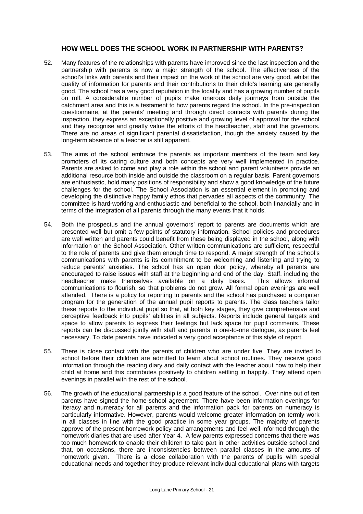## **HOW WELL DOES THE SCHOOL WORK IN PARTNERSHIP WITH PARENTS?**

- 52. Many features of the relationships with parents have improved since the last inspection and the partnership with parents is now a major strength of the school. The effectiveness of the school's links with parents and their impact on the work of the school are very good, whilst the quality of information for parents and their contributions to their child's learning are generally good. The school has a very good reputation in the locality and has a growing number of pupils on roll. A considerable number of pupils make onerous daily journeys from outside the catchment area and this is a testament to how parents regard the school. In the pre-inspection questionnaire, at the parents' meeting and through direct contacts with parents during the inspection, they express an exceptionally positive and growing level of approval for the school and they recognise and greatly value the efforts of the headteacher, staff and the governors. There are no areas of significant parental dissatisfaction, though the anxiety caused by the long-term absence of a teacher is still apparent.
- 53. The aims of the school embrace the parents as important members of the team and key promoters of its caring culture and both concepts are very well implemented in practice. Parents are asked to come and play a role within the school and parent volunteers provide an additional resource both inside and outside the classroom on a regular basis. Parent governors are enthusiastic, hold many positions of responsibility and show a good knowledge of the future challenges for the school. The School Association is an essential element in promoting and developing the distinctive happy family ethos that pervades all aspects of the community. The committee is hard-working and enthusiastic and beneficial to the school, both financially and in terms of the integration of all parents through the many events that it holds.
- 54. Both the prospectus and the annual governors' report to parents are documents which are presented well but omit a few points of statutory information. School policies and procedures are well written and parents could benefit from these being displayed in the school, along with information on the School Association. Other written communications are sufficient, respectful to the role of parents and give them enough time to respond. A major strength of the school's communications with parents is its commitment to be welcoming and listening and trying to reduce parents' anxieties. The school has an open door policy, whereby all parents are encouraged to raise issues with staff at the beginning and end of the day. Staff, including the headteacher make themselves available on a daily basis. This allows informal communications to flourish, so that problems do not grow. All formal open evenings are well attended. There is a policy for reporting to parents and the school has purchased a computer program for the generation of the annual pupil reports to parents. The class teachers tailor these reports to the individual pupil so that, at both key stages, they give comprehensive and perceptive feedback into pupils' abilities in all subjects. Reports include general targets and space to allow parents to express their feelings but lack space for pupil comments. These reports can be discussed jointly with staff and parents in one-to-one dialogue, as parents feel necessary. To date parents have indicated a very good acceptance of this style of report.
- 55. There is close contact with the parents of children who are under five. They are invited to school before their children are admitted to learn about school routines. They receive good information through the reading diary and daily contact with the teacher about how to help their child at home and this contributes positively to children settling in happily. They attend open evenings in parallel with the rest of the school.
- 56. The growth of the educational partnership is a good feature of the school. Over nine out of ten parents have signed the home-school agreement. There have been information evenings for literacy and numeracy for all parents and the information pack for parents on numeracy is particularly informative. However, parents would welcome greater information on termly work in all classes in line with the good practice in some year groups. The majority of parents approve of the present homework policy and arrangements and feel well informed through the homework diaries that are used after Year 4. A few parents expressed concerns that there was too much homework to enable their children to take part in other activities outside school and that, on occasions, there are inconsistencies between parallel classes in the amounts of homework given. There is a close collaboration with the parents of pupils with special educational needs and together they produce relevant individual educational plans with targets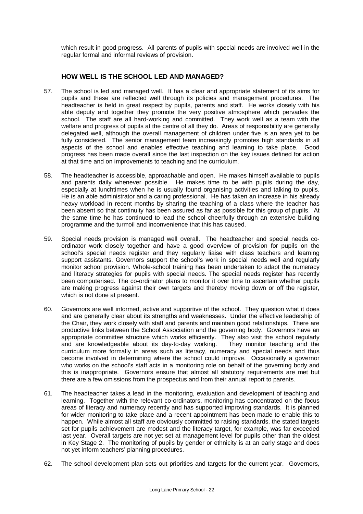which result in good progress. All parents of pupils with special needs are involved well in the regular formal and informal reviews of provision.

# **HOW WELL IS THE SCHOOL LED AND MANAGED?**

- 57. The school is led and managed well. It has a clear and appropriate statement of its aims for pupils and these are reflected well through its policies and management procedures. The headteacher is held in great respect by pupils, parents and staff. He works closely with his able deputy and together they promote the very positive atmosphere which pervades the school. The staff are all hard-working and committed. They work well as a team with the welfare and progress of pupils at the centre of all they do. Areas of responsibility are generally delegated well, although the overall management of children under five is an area yet to be fully considered. The senior management team increasingly promotes high standards in all aspects of the school and enables effective teaching and learning to take place. Good progress has been made overall since the last inspection on the key issues defined for action at that time and on improvements to teaching and the curriculum.
- 58. The headteacher is accessible, approachable and open. He makes himself available to pupils and parents daily whenever possible. He makes time to be with pupils during the day, especially at lunchtimes when he is usually found organising activities and talking to pupils. He is an able administrator and a caring professional. He has taken an increase in his already heavy workload in recent months by sharing the teaching of a class where the teacher has been absent so that continuity has been assured as far as possible for this group of pupils. At the same time he has continued to lead the school cheerfully through an extensive building programme and the turmoil and inconvenience that this has caused.
- 59. Special needs provision is managed well overall. The headteacher and special needs coordinator work closely together and have a good overview of provision for pupils on the school's special needs register and they regularly liaise with class teachers and learning support assistants. Governors support the school's work in special needs well and regularly monitor school provision. Whole-school training has been undertaken to adapt the numeracy and literacy strategies for pupils with special needs. The special needs register has recently been computerised. The co-ordinator plans to monitor it over time to ascertain whether pupils are making progress against their own targets and thereby moving down or off the register, which is not done at present.
- 60. Governors are well informed, active and supportive of the school. They question what it does and are generally clear about its strengths and weaknesses. Under the effective leadership of the Chair, they work closely with staff and parents and maintain good relationships. There are productive links between the School Association and the governing body. Governors have an appropriate committee structure which works efficiently. They also visit the school regularly and are knowledgeable about its day-to-day working. They monitor teaching and the curriculum more formally in areas such as literacy, numeracy and special needs and thus become involved in determining where the school could improve. Occasionally a governor who works on the school's staff acts in a monitoring role on behalf of the governing body and this is inappropriate. Governors ensure that almost all statutory requirements are met but there are a few omissions from the prospectus and from their annual report to parents.
- 61. The headteacher takes a lead in the monitoring, evaluation and development of teaching and learning. Together with the relevant co-ordinators, monitoring has concentrated on the focus areas of literacy and numeracy recently and has supported improving standards. It is planned for wider monitoring to take place and a recent appointment has been made to enable this to happen. While almost all staff are obviously committed to raising standards, the stated targets set for pupils achievement are modest and the literacy target, for example, was far exceeded last year. Overall targets are not yet set at management level for pupils other than the oldest in Key Stage 2. The monitoring of pupils by gender or ethnicity is at an early stage and does not yet inform teachers' planning procedures.
- 62. The school development plan sets out priorities and targets for the current year. Governors,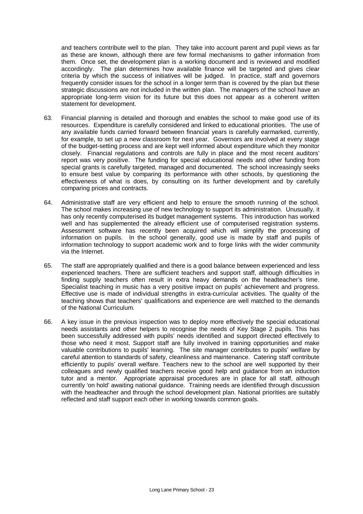and teachers contribute well to the plan. They take into account parent and pupil views as far as these are known, although there are few formal mechanisms to gather information from them. Once set, the development plan is a working document and is reviewed and modified accordingly. The plan determines how available finance will be targeted and gives clear criteria by which the success of initiatives will be judged. In practice, staff and governors frequently consider issues for the school in a longer term than is covered by the plan but these strategic discussions are not included in the written plan. The managers of the school have an appropriate long-term vision for its future but this does not appear as a coherent written statement for development.

- 63. Financial planning is detailed and thorough and enables the school to make good use of its resources. Expenditure is carefully considered and linked to educational priorities. The use of any available funds carried forward between financial years is carefully earmarked, currently, for example, to set up a new classroom for next year. Governors are involved at every stage of the budget-setting process and are kept well informed about expenditure which they monitor closely. Financial regulations and controls are fully in place and the most recent auditors' report was very positive. The funding for special educational needs and other funding from special grants is carefully targeted, managed and documented. The school increasingly seeks to ensure best value by comparing its performance with other schools, by questioning the effectiveness of what is does, by consulting on its further development and by carefully comparing prices and contracts.
- 64. Administrative staff are very efficient and help to ensure the smooth running of the school. The school makes increasing use of new technology to support its administration. Unusually, it has only recently computerised its budget management systems. This introduction has worked well and has supplemented the already efficient use of computerised registration systems. Assessment software has recently been acquired which will simplify the processing of information on pupils. In the school generally, good use is made by staff and pupils of information technology to support academic work and to forge links with the wider community via the Internet.
- 65. The staff are appropriately qualified and there is a good balance between experienced and less experienced teachers. There are sufficient teachers and support staff, although difficulties in finding supply teachers often result in extra heavy demands on the headteacher's time. Specialist teaching in music has a very positive impact on pupils' achievement and progress. Effective use is made of individual strengths in extra-curricular activities. The quality of the teaching shows that teachers' qualifications and experience are well matched to the demands of the National Curriculum.
- 66. A key issue in the previous inspection was to deploy more effectively the special educational needs assistants and other helpers to recognise the needs of Key Stage 2 pupils. This has been successfully addressed with pupils' needs identified and support directed effectively to those who need it most. Support staff are fully involved in training opportunities and make valuable contributions to pupils' learning. The site manager contributes to pupils' welfare by careful attention to standards of safety, cleanliness and maintenance. Catering staff contribute efficiently to pupils' overall welfare. Teachers new to the school are well supported by their colleagues and newly qualified teachers receive good help and guidance from an induction tutor and a mentor. Appropriate appraisal procedures are in place for all staff, although currently 'on hold' awaiting national guidance. Training needs are identified through discussion with the headteacher and through the school development plan. National priorities are suitably reflected and staff support each other in working towards common goals.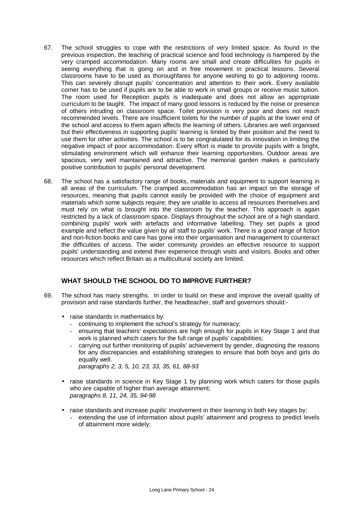- 67. The school struggles to cope with the restrictions of very limited space. As found in the previous inspection, the teaching of practical science and food technology is hampered by the very cramped accommodation. Many rooms are small and create difficulties for pupils in seeing everything that is going on and in free movement in practical lessons. Several classrooms have to be used as thoroughfares for anyone wishing to go to adjoining rooms. This can severely disrupt pupils' concentration and attention to their work. Every available corner has to be used if pupils are to be able to work in small groups or receive music tuition. The room used for Reception pupils is inadequate and does not allow an appropriate curriculum to be taught. The impact of many good lessons is reduced by the noise or presence of others intruding on classroom space. Toilet provision is very poor and does not reach recommended levels. There are insufficient toilets for the number of pupils at the lower end of the school and access to them again affects the learning of others. Libraries are well organised but their effectiveness in supporting pupils' learning is limited by their position and the need to use them for other activities. The school is to be congratulated for its innovation in limiting the negative impact of poor accommodation. Every effort is made to provide pupils with a bright, stimulating environment which will enhance their learning opportunities. Outdoor areas are spacious, very well maintained and attractive. The memorial garden makes a particularly positive contribution to pupils' personal development.
- 68. The school has a satisfactory range of books, materials and equipment to support learning in all areas of the curriculum. The cramped accommodation has an impact on the storage of resources, meaning that pupils cannot easily be provided with the choice of equipment and materials which some subjects require; they are unable to access all resources themselves and must rely on what is brought into the classroom by the teacher. This approach is again restricted by a lack of classroom space. Displays throughout the school are of a high standard, combining pupils' work with artefacts and informative labelling. They set pupils a good example and reflect the value given by all staff to pupils' work. There is a good range of fiction and non-fiction books and care has gone into their organisation and management to counteract the difficulties of access. The wider community provides an effective resource to support pupils' understanding and extend their experience through visits and visitors. Books and other resources which reflect Britain as a multicultural society are limited.

## **WHAT SHOULD THE SCHOOL DO TO IMPROVE FURTHER?**

- 69. The school has many strengths. In order to build on these and improve the overall quality of provision and raise standards further, the headteacher, staff and governors should:-
	- raise standards in mathematics by:
		- continuing to implement the school's strategy for numeracy;
		- ensuring that teachers' expectations are high enough for pupils in Key Stage 1 and that work is planned which caters for the full range of pupils' capabilities;
		- carrying out further monitoring of pupils' achievement by gender, diagnosing the reasons for any discrepancies and establishing strategies to ensure that both boys and girls do equally well.

*paragraphs 2, 3, 5, 10, 23, 33, 35, 61, 88-93*

- raise standards in science in Key Stage 1 by planning work which caters for those pupils who are capable of higher than average attainment; *paragraphs 8, 11, 24, 35, 94-98*
- raise standards and increase pupils' involvement in their learning in both key stages by:
	- extending the use of information about pupils' attainment and progress to predict levels of attainment more widely;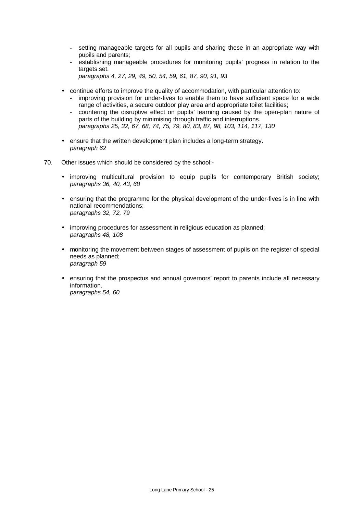- setting manageable targets for all pupils and sharing these in an appropriate way with pupils and parents;
- establishing manageable procedures for monitoring pupils' progress in relation to the targets set. *paragraphs 4, 27, 29, 49, 50, 54, 59, 61, 87, 90, 91, 93*
- 
- continue efforts to improve the quality of accommodation, with particular attention to: - improving provision for under-fives to enable them to have sufficient space for a wide range of activities, a secure outdoor play area and appropriate toilet facilities;
	- countering the disruptive effect on pupils' learning caused by the open-plan nature of parts of the building by minimising through traffic and interruptions. *paragraphs 25, 32, 67, 68, 74, 75, 79, 80, 83, 87, 98, 103, 114, 117, 130*
- ensure that the written development plan includes a long-term strategy. *paragraph 62*
- 70. Other issues which should be considered by the school:-
	- improving multicultural provision to equip pupils for contemporary British society; *paragraphs 36, 40, 43, 68*
	- ensuring that the programme for the physical development of the under-fives is in line with national recommendations; *paragraphs 32, 72, 79*
	- improving procedures for assessment in religious education as planned; *paragraphs 48, 108*
	- monitoring the movement between stages of assessment of pupils on the register of special needs as planned; *paragraph 59*
	- ensuring that the prospectus and annual governors' report to parents include all necessary information. *paragraphs 54, 60*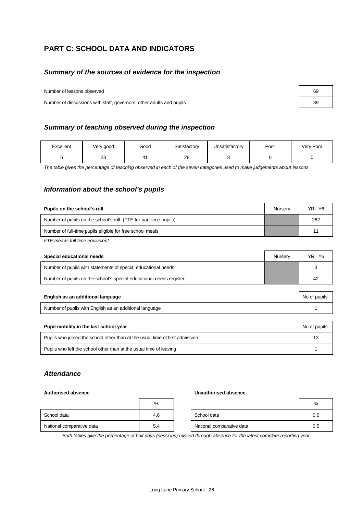# **PART C: SCHOOL DATA AND INDICATORS**

## *Summary of the sources of evidence for the inspection*

Number of lessons observed

Number of discussions with staff, governors, other adults and pupils

## *Summary of teaching observed during the inspection*

| Excellent | Very good | Good | Satisfactory | Unsatisfactory | Poor | Very Poor |
|-----------|-----------|------|--------------|----------------|------|-----------|
|           | nn<br>دے  | 4.   | 28           |                |      |           |

*The table gives the percentage of teaching observed in each of the seven categories used to make judgements about lessons.*

## *Information about the school's pupils*

| Pupils on the school's roll                                      | Nurserv | $YR - Y6$ |
|------------------------------------------------------------------|---------|-----------|
| Number of pupils on the school's roll (FTE for part-time pupils) |         | 262       |
| Number of full-time pupils eligible for free school meals        |         | 11        |
|                                                                  |         |           |

*FTE means full-time equivalent.*

| Special educational needs                                           | Nurserv | YR- Y6 |
|---------------------------------------------------------------------|---------|--------|
| Number of pupils with statements of special educational needs       |         |        |
| Number of pupils on the school's special educational needs register |         | 42     |

| English as an additional language                       | No of pupils |
|---------------------------------------------------------|--------------|
| Number of pupils with English as an additional language |              |

| Pupil mobility in the last school year                                       | No of pupils |
|------------------------------------------------------------------------------|--------------|
| Pupils who joined the school other than at the usual time of first admission | 13           |
| Pupils who left the school other than at the usual time of leaving           |              |

## *Attendance*

#### **Authorised absence Unauthorised absence**

|                           | %   |                           | %   |
|---------------------------|-----|---------------------------|-----|
| School data               | 4.6 | School data               | 0.0 |
| National comparative data | 5.4 | National comparative data | 0.5 |

*Both tables give the percentage of half days (sessions) missed through absence for the latest complete reporting year.*

| 69 |  |
|----|--|
| 39 |  |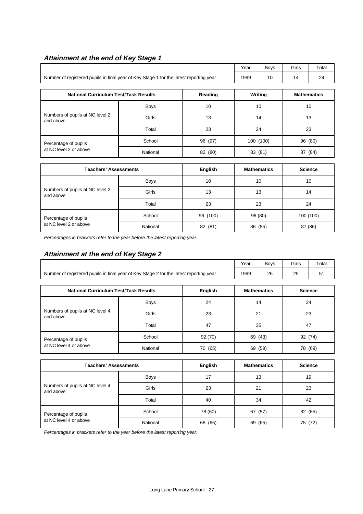# *Attainment at the end of Key Stage 1*

|                                                                                        |             |         |      | <b>Boys</b> | Girls   | Total              |  |
|----------------------------------------------------------------------------------------|-------------|---------|------|-------------|---------|--------------------|--|
| Number of registered pupils in final year of Key Stage 1 for the latest reporting year |             |         | 1999 | 10          | 14      | 24                 |  |
|                                                                                        |             |         |      |             |         |                    |  |
| <b>National Curriculum Test/Task Results</b>                                           |             | Reading |      | Writing     |         | <b>Mathematics</b> |  |
| Numbers of pupils at NC level 2<br>and above                                           | <b>Boys</b> | 10      |      | 10          | 10      |                    |  |
|                                                                                        | Girls       | 13      |      | 14          |         | 13                 |  |
|                                                                                        | Total       | 23      | 24   |             | 23      |                    |  |
| Percentage of pupils                                                                   | School      | 96 (97) |      | 100 (100)   | 96 (80) |                    |  |
| at NC level 2 or above                                                                 | National    | 82 (80) |      | 83 (81)     | 87 (84) |                    |  |
|                                                                                        |             |         |      |             |         |                    |  |

| Teachers' Assessments                        |             | English    | <b>Mathematics</b> | <b>Science</b> |
|----------------------------------------------|-------------|------------|--------------------|----------------|
|                                              | <b>Boys</b> | 10         | 10                 | 10             |
| Numbers of pupils at NC level 2<br>and above | Girls       | 13         | 13                 | 14             |
|                                              | Total       | 23         | 23                 | 24             |
| Percentage of pupils                         | School      | 96 (100)   | 96 (80)            | 100 (100)      |
| at NC level 2 or above                       | National    | 82<br>(81) | 86 (85)            | 87 (86)        |

*Percentages in brackets refer to the year before the latest reporting year.*

# *Attainment at the end of Key Stage 2*

|                                                                                        | Year | <b>Bovs</b> | Girls | Total |
|----------------------------------------------------------------------------------------|------|-------------|-------|-------|
| Number of registered pupils in final year of Key Stage 2 for the latest reporting year | 1999 | 26          | າະ    |       |
|                                                                                        |      |             |       |       |

| <b>National Curriculum Test/Task Results</b>   |             | English    | <b>Mathematics</b> | <b>Science</b> |
|------------------------------------------------|-------------|------------|--------------------|----------------|
| Numbers of pupils at NC level 4<br>and above   | <b>Boys</b> | 24         | 14                 | 24             |
|                                                | Girls       | 23         | 21                 | 23             |
|                                                | Total       | 47         | 35                 | 47             |
| Percentage of pupils<br>at NC level 4 or above | School      | 92(70)     | 69 (43)            | 92 (74)        |
|                                                | National    | (65)<br>70 | 69 (59)            | 78 (69)        |

| <b>Teachers' Assessments</b>                 |             | English | <b>Mathematics</b> | <b>Science</b> |
|----------------------------------------------|-------------|---------|--------------------|----------------|
|                                              | <b>Boys</b> | 17      | 13                 | 19             |
| Numbers of pupils at NC level 4<br>and above | Girls       | 23      | 21                 | 23             |
|                                              | Total       | 40      | 34                 | 42             |
| Percentage of pupils                         | School      | 78 (60) | (57)<br>67         | 82 (65)        |
| at NC level 4 or above                       | National    | 68 (65) | (65)<br>69         | 75 (72)        |

*Percentages in brackets refer to the year before the latest reporting year.*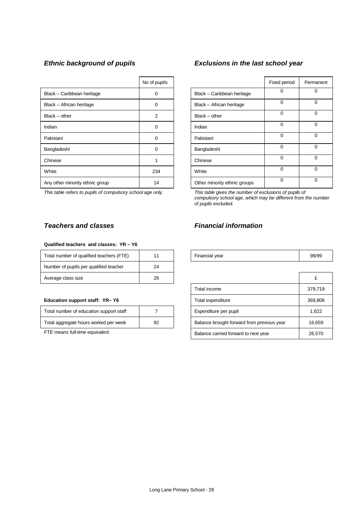|                                 | No of pupils |                              | Fixed period | Perma    |
|---------------------------------|--------------|------------------------------|--------------|----------|
| Black - Caribbean heritage      | $\Omega$     | Black - Caribbean heritage   | 0            | 0        |
| Black - African heritage        | $\Omega$     | Black - African heritage     | $\Omega$     | 0        |
| $Black - other$                 | 2            | $Black - other$              | $\Omega$     | 0        |
| Indian                          | $\Omega$     | Indian                       | $\Omega$     | 0        |
| Pakistani                       | $\Omega$     | Pakistani                    | $\Omega$     | $\Omega$ |
| Bangladeshi                     | 0            | Bangladeshi                  | $\Omega$     | 0        |
| Chinese                         |              | Chinese                      | $\Omega$     | $\Omega$ |
| White                           | 234          | White                        | $\Omega$     | 0        |
| Any other minority ethnic group | 14           | Other minority ethnic groups | $\Omega$     | 0        |

*This table refers to pupils of compulsory school age only. This table gives the number of exclusions of pupils of*

#### **Qualified teachers and classes: YR – Y6**

| Total number of qualified teachers (FTE) |    | Financial year | 98/ |
|------------------------------------------|----|----------------|-----|
| Number of pupils per qualified teacher   | 24 |                |     |
| Average class size                       | 26 |                |     |

#### **Education support staff: YR- Y6**

| Total number of education support staff |    |
|-----------------------------------------|----|
| Total aggregate hours worked per week   | 92 |

# *Ethnic background of pupils Exclusions in the last school year*

| No of pupils   |                              | Fixed period | Permanent |
|----------------|------------------------------|--------------|-----------|
| 0              | Black - Caribbean heritage   | 0            | 0         |
| 0              | Black - African heritage     | $\Omega$     | 0         |
| $\overline{2}$ | $Black - other$              | $\Omega$     | $\Omega$  |
| 0              | Indian                       | 0            | 0         |
| $\Omega$       | Pakistani                    | $\Omega$     | $\Omega$  |
| 0              | Bangladeshi                  | 0            | $\Omega$  |
| 1              | Chinese                      | $\Omega$     | $\Omega$  |
| 234            | White                        | $\Omega$     | $\Omega$  |
| 14             | Other minority ethnic groups | $\Omega$     | 0         |

*compulsory school age, which may be different from the number of pupils excluded.*

# *Teachers and classes Financial information*

| Total number of qualified teachers (FT<br>'⊢ | Financial vear<br>- - - | 98/99 |
|----------------------------------------------|-------------------------|-------|
|                                              |                         |       |

| Average class size                      | 26 |                                            |         |
|-----------------------------------------|----|--------------------------------------------|---------|
|                                         |    | Total income                               | 379,719 |
| Education support staff: YR-Y6          |    | Total expenditure                          | 369,808 |
| Total number of education support staff |    | Expenditure per pupil                      | 1,622   |
| Total aggregate hours worked per week   | 92 | Balance brought forward from previous year | 16,659  |
| FTE means full-time equivalent.         |    | Balance carried forward to next year       | 26,570  |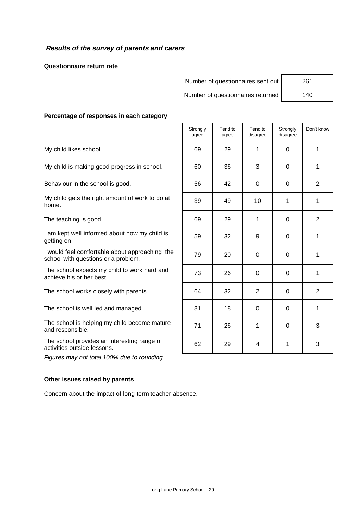# *Results of the survey of parents and carers*

**Questionnaire return rate**

Number of questionnaires sent out | 261

Number of questionnaires returned | 140

## **Percentage of responses in each category**

*Figures may not total 100% due to rounding*

#### **Other issues raised by parents**

Concern about the impact of long-term teacher absence.

|                                                                                       | Strongly<br>agree | Tend to<br>agree | Tend to<br>disagree | Strongly<br>disagree | Don't know     |
|---------------------------------------------------------------------------------------|-------------------|------------------|---------------------|----------------------|----------------|
| My child likes school.                                                                | 69                | 29               | 1                   | $\Omega$             | 1              |
| My child is making good progress in school.                                           | 60                | 36               | 3                   | $\Omega$             | 1              |
| Behaviour in the school is good.                                                      | 56                | 42               | $\mathbf 0$         | $\mathbf 0$          | 2              |
| My child gets the right amount of work to do at<br>home.                              | 39                | 49               | 10                  | 1                    | 1              |
| The teaching is good.                                                                 | 69                | 29               | 1                   | $\Omega$             | $\overline{2}$ |
| I am kept well informed about how my child is<br>getting on.                          | 59                | 32               | 9                   | $\Omega$             | 1              |
| I would feel comfortable about approaching the<br>school with questions or a problem. | 79                | 20               | $\Omega$            | $\Omega$             | 1              |
| The school expects my child to work hard and<br>achieve his or her best.              | 73                | 26               | 0                   | $\Omega$             | 1              |
| The school works closely with parents.                                                | 64                | 32               | $\overline{2}$      | $\Omega$             | 2              |
| The school is well led and managed.                                                   | 81                | 18               | $\Omega$            | $\Omega$             | 1              |
| The school is helping my child become mature<br>and responsible.                      | 71                | 26               | 1                   | $\Omega$             | 3              |
| The school provides an interesting range of<br>activities outside lessons.            | 62                | 29               | 4                   | 1                    | 3              |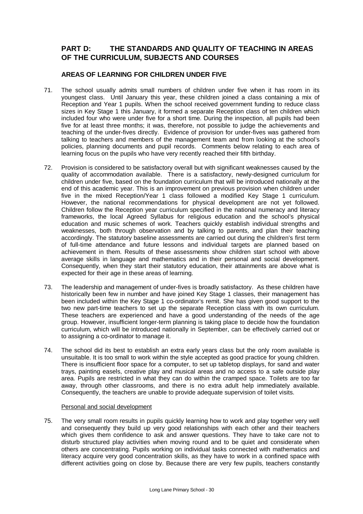# **PART D: THE STANDARDS AND QUALITY OF TEACHING IN AREAS OF THE CURRICULUM, SUBJECTS AND COURSES**

# **AREAS OF LEARNING FOR CHILDREN UNDER FIVE**

- 71. The school usually admits small numbers of children under five when it has room in its youngest class. Until January this year, these children joined a class containing a mix of Reception and Year 1 pupils. When the school received government funding to reduce class sizes in Key Stage 1 this January, it formed a separate Reception class of ten children which included four who were under five for a short time. During the inspection, all pupils had been five for at least three months; it was, therefore, not possible to judge the achievements and teaching of the under-fives directly. Evidence of provision for under-fives was gathered from talking to teachers and members of the management team and from looking at the school's policies, planning documents and pupil records. Comments below relating to each area of learning focus on the pupils who have very recently reached their fifth birthday.
- 72. Provision is considered to be satisfactory overall but with significant weaknesses caused by the quality of accommodation available. There is a satisfactory, newly-designed curriculum for children under five, based on the foundation curriculum that will be introduced nationally at the end of this academic year. This is an improvement on previous provision when children under five in the mixed Reception/Year 1 class followed a modified Key Stage 1 curriculum. However, the national recommendations for physical development are not yet followed. Children follow the Reception year curriculum specified in the national numeracy and literacy frameworks, the local Agreed Syllabus for religious education and the school's physical education and music schemes of work. Teachers quickly establish individual strengths and weaknesses, both through observation and by talking to parents, and plan their teaching accordingly. The statutory baseline assessments are carried out during the children's first term of full-time attendance and future lessons and individual targets are planned based on achievement in them. Results of these assessments show children start school with above average skills in language and mathematics and in their personal and social development. Consequently, when they start their statutory education, their attainments are above what is expected for their age in these areas of learning.
- 73. The leadership and management of under-fives is broadly satisfactory. As these children have historically been few in number and have joined Key Stage 1 classes, their management has been included within the Key Stage 1 co-ordinator's remit. She has given good support to the two new part-time teachers to set up the separate Reception class with its own curriculum. These teachers are experienced and have a good understanding of the needs of the age group. However, insufficient longer-term planning is taking place to decide how the foundation curriculum, which will be introduced nationally in September, can be effectively carried out or to assigning a co-ordinator to manage it.
- 74. The school did its best to establish an extra early years class but the only room available is unsuitable. It is too small to work within the style accepted as good practice for young children. There is insufficient floor space for a computer, to set up tabletop displays, for sand and water trays, painting easels, creative play and musical areas and no access to a safe outside play area. Pupils are restricted in what they can do within the cramped space. Toilets are too far away, through other classrooms, and there is no extra adult help immediately available. Consequently, the teachers are unable to provide adequate supervision of toilet visits.

## Personal and social development

75. The very small room results in pupils quickly learning how to work and play together very well and consequently they build up very good relationships with each other and their teachers which gives them confidence to ask and answer questions. They have to take care not to disturb structured play activities when moving round and to be quiet and considerate when others are concentrating. Pupils working on individual tasks connected with mathematics and literacy acquire very good concentration skills, as they have to work in a confined space with different activities going on close by. Because there are very few pupils, teachers constantly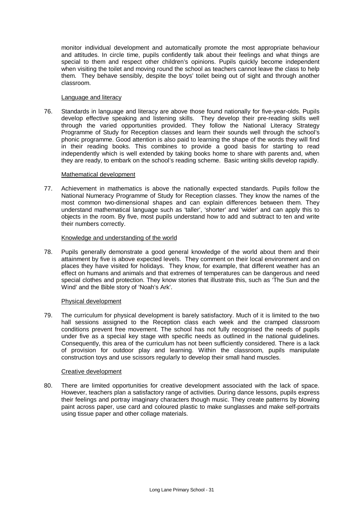monitor individual development and automatically promote the most appropriate behaviour and attitudes. In circle time, pupils confidently talk about their feelings and what things are special to them and respect other children's opinions. Pupils quickly become independent when visiting the toilet and moving round the school as teachers cannot leave the class to help them. They behave sensibly, despite the boys' toilet being out of sight and through another classroom.

#### Language and literacy

76. Standards in language and literacy are above those found nationally for five-year-olds. Pupils develop effective speaking and listening skills. They develop their pre-reading skills well through the varied opportunities provided. They follow the National Literacy Strategy Programme of Study for Reception classes and learn their sounds well through the school's phonic programme. Good attention is also paid to learning the shape of the words they will find in their reading books. This combines to provide a good basis for starting to read independently which is well extended by taking books home to share with parents and, when they are ready, to embark on the school's reading scheme. Basic writing skills develop rapidly.

#### Mathematical development

77. Achievement in mathematics is above the nationally expected standards. Pupils follow the National Numeracy Programme of Study for Reception classes. They know the names of the most common two-dimensional shapes and can explain differences between them. They understand mathematical language such as 'taller', 'shorter' and 'wider' and can apply this to objects in the room. By five, most pupils understand how to add and subtract to ten and write their numbers correctly.

#### Knowledge and understanding of the world

78. Pupils generally demonstrate a good general knowledge of the world about them and their attainment by five is above expected levels. They comment on their local environment and on places they have visited for holidays. They know, for example, that different weather has an effect on humans and animals and that extremes of temperatures can be dangerous and need special clothes and protection. They know stories that illustrate this, such as 'The Sun and the Wind' and the Bible story of 'Noah's Ark'.

## Physical development

79. The curriculum for physical development is barely satisfactory. Much of it is limited to the two hall sessions assigned to the Reception class each week and the cramped classroom conditions prevent free movement. The school has not fully recognised the needs of pupils under five as a special key stage with specific needs as outlined in the national guidelines. Consequently, this area of the curriculum has not been sufficiently considered. There is a lack of provision for outdoor play and learning. Within the classroom, pupils manipulate construction toys and use scissors regularly to develop their small hand muscles.

## Creative development

80. There are limited opportunities for creative development associated with the lack of space. However, teachers plan a satisfactory range of activities. During dance lessons, pupils express their feelings and portray imaginary characters though music. They create patterns by blowing paint across paper, use card and coloured plastic to make sunglasses and make self-portraits using tissue paper and other collage materials.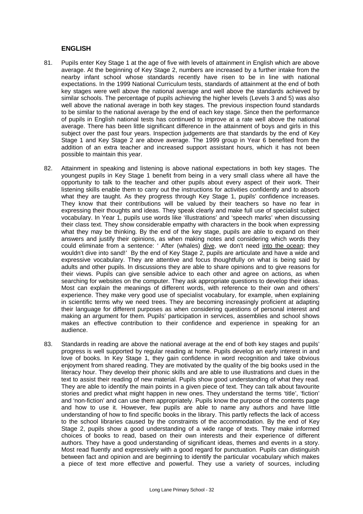## **ENGLISH**

- 81. Pupils enter Key Stage 1 at the age of five with levels of attainment in English which are above average. At the beginning of Key Stage 2, numbers are increased by a further intake from the nearby infant school whose standards recently have risen to be in line with national expectations. In the 1999 National Curriculum tests, standards of attainment at the end of both key stages were well above the national average and well above the standards achieved by similar schools. The percentage of pupils achieving the higher levels (Levels 3 and 5) was also well above the national average in both key stages. The previous inspection found standards to be similar to the national average by the end of each key stage. Since then the performance of pupils in English national tests has continued to improve at a rate well above the national average. There has been little significant difference in the attainment of boys and girls in this subject over the past four years. Inspection judgements are that standards by the end of Key Stage 1 and Key Stage 2 are above average. The 1999 group in Year 6 benefited from the addition of an extra teacher and increased support assistant hours, which it has not been possible to maintain this year.
- 82. Attainment in speaking and listening is above national expectations in both key stages. The youngest pupils in Key Stage 1 benefit from being in a very small class where all have the opportunity to talk to the teacher and other pupils about every aspect of their work. Their listening skills enable them to carry out the instructions for activities confidently and to absorb what they are taught. As they progress through Key Stage 1, pupils' confidence increases. They know that their contributions will be valued by their teachers so have no fear in expressing their thoughts and ideas. They speak clearly and make full use of specialist subject vocabulary. In Year 1, pupils use words like 'illustrations' and 'speech marks' when discussing their class text. They show considerable empathy with characters in the book when expressing what they may be thinking. By the end of the key stage, pupils are able to expand on their answers and justify their opinions, as when making notes and considering which words they could eliminate from a sentence: ' After (whales) dive, we don't need into the ocean; they wouldn't dive into sand!' By the end of Key Stage 2, pupils are articulate and have a wide and expressive vocabulary. They are attentive and focus thoughtfully on what is being said by adults and other pupils. In discussions they are able to share opinions and to give reasons for their views. Pupils can give sensible advice to each other and agree on actions, as when searching for websites on the computer. They ask appropriate questions to develop their ideas. Most can explain the meanings of different words, with reference to their own and others' experience. They make very good use of specialist vocabulary, for example, when explaining in scientific terms why we need trees. They are becoming increasingly proficient at adapting their language for different purposes as when considering questions of personal interest and making an argument for them. Pupils' participation in services, assemblies and school shows makes an effective contribution to their confidence and experience in speaking for an audience.
- 83. Standards in reading are above the national average at the end of both key stages and pupils' progress is well supported by regular reading at home. Pupils develop an early interest in and love of books. In Key Stage 1, they gain confidence in word recognition and take obvious enjoyment from shared reading. They are motivated by the quality of the big books used in the literacy hour. They develop their phonic skills and are able to use illustrations and clues in the text to assist their reading of new material. Pupils show good understanding of what they read. They are able to identify the main points in a given piece of text. They can talk about favourite stories and predict what might happen in new ones. They understand the terms 'title', 'fiction' and 'non-fiction' and can use them appropriately. Pupils know the purpose of the contents page and how to use it. However, few pupils are able to name any authors and have little understanding of how to find specific books in the library. This partly reflects the lack of access to the school libraries caused by the constraints of the accommodation. By the end of Key Stage 2, pupils show a good understanding of a wide range of texts. They make informed choices of books to read, based on their own interests and their experience of different authors. They have a good understanding of significant ideas, themes and events in a story. Most read fluently and expressively with a good regard for punctuation. Pupils can distinguish between fact and opinion and are beginning to identify the particular vocabulary which makes a piece of text more effective and powerful. They use a variety of sources, including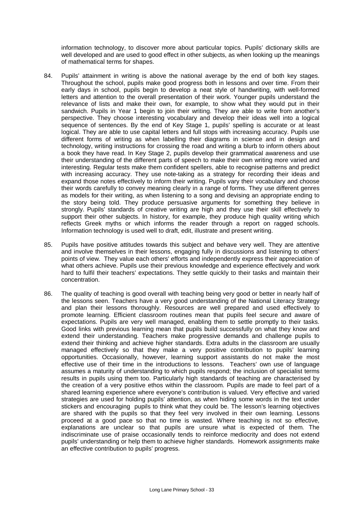information technology, to discover more about particular topics. Pupils' dictionary skills are well developed and are used to good effect in other subjects, as when looking up the meanings of mathematical terms for shapes.

- 84. Pupils' attainment in writing is above the national average by the end of both key stages. Throughout the school, pupils make good progress both in lessons and over time. From their early days in school, pupils begin to develop a neat style of handwriting, with well-formed letters and attention to the overall presentation of their work. Younger pupils understand the relevance of lists and make their own, for example, to show what they would put in their sandwich. Pupils in Year 1 begin to join their writing. They are able to write from another's perspective. They choose interesting vocabulary and develop their ideas well into a logical sequence of sentences. By the end of Key Stage 1, pupils' spelling is accurate or at least logical. They are able to use capital letters and full stops with increasing accuracy. Pupils use different forms of writing as when labelling their diagrams in science and in design and technology, writing instructions for crossing the road and writing a blurb to inform others about a book they have read. In Key Stage 2, pupils develop their grammatical awareness and use their understanding of the different parts of speech to make their own writing more varied and interesting. Regular tests make them confident spellers, able to recognise patterns and predict with increasing accuracy. They use note-taking as a strategy for recording their ideas and expand those notes effectively to inform their writing. Pupils vary their vocabulary and choose their words carefully to convey meaning clearly in a range of forms. They use different genres as models for their writing, as when listening to a song and devising an appropriate ending to the story being told. They produce persuasive arguments for something they believe in strongly. Pupils' standards of creative writing are high and they use their skill effectively to support their other subjects. In history, for example, they produce high quality writing which reflects Greek myths or which informs the reader through a report on ragged schools. Information technology is used well to draft, edit, illustrate and present writing.
- 85. Pupils have positive attitudes towards this subject and behave very well. They are attentive and involve themselves in their lessons, engaging fully in discussions and listening to others' points of view. They value each others' efforts and independently express their appreciation of what others achieve. Pupils use their previous knowledge and experience effectively and work hard to fulfil their teachers' expectations. They settle quickly to their tasks and maintain their concentration.
- 86. The quality of teaching is good overall with teaching being very good or better in nearly half of the lessons seen. Teachers have a very good understanding of the National Literacy Strategy and plan their lessons thoroughly. Resources are well prepared and used effectively to promote learning. Efficient classroom routines mean that pupils feel secure and aware of expectations. Pupils are very well managed, enabling them to settle promptly to their tasks. Good links with previous learning mean that pupils build successfully on what they know and extend their understanding. Teachers make progressive demands and challenge pupils to extend their thinking and achieve higher standards. Extra adults in the classroom are usually managed effectively so that they make a very positive contribution to pupils' learning opportunities. Occasionally, however, learning support assistants do not make the most effective use of their time in the introductions to lessons. Teachers' own use of language assumes a maturity of understanding to which pupils respond; the inclusion of specialist terms results in pupils using them too. Particularly high standards of teaching are characterised by the creation of a very positive ethos within the classroom. Pupils are made to feel part of a shared learning experience where everyone's contribution is valued. Very effective and varied strategies are used for holding pupils' attention, as when hiding some words in the text under stickers and encouraging pupils to think what they could be. The lesson's learning objectives are shared with the pupils so that they feel very involved in their own learning. Lessons proceed at a good pace so that no time is wasted. Where teaching is not so effective, explanations are unclear so that pupils are unsure what is expected of them. The indiscriminate use of praise occasionally tends to reinforce mediocrity and does not extend pupils' understanding or help them to achieve higher standards. Homework assignments make an effective contribution to pupils' progress.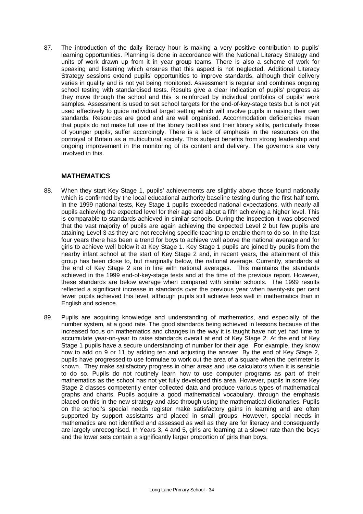87. The introduction of the daily literacy hour is making a very positive contribution to pupils' learning opportunities. Planning is done in accordance with the National Literacy Strategy and units of work drawn up from it in year group teams. There is also a scheme of work for speaking and listening which ensures that this aspect is not neglected. Additional Literacy Strategy sessions extend pupils' opportunities to improve standards, although their delivery varies in quality and is not yet being monitored. Assessment is regular and combines ongoing school testing with standardised tests. Results give a clear indication of pupils' progress as they move through the school and this is reinforced by individual portfolios of pupils' work samples. Assessment is used to set school targets for the end-of-key-stage tests but is not yet used effectively to guide individual target setting which will involve pupils in raising their own standards. Resources are good and are well organised. Accommodation deficiencies mean that pupils do not make full use of the library facilities and their library skills, particularly those of younger pupils, suffer accordingly. There is a lack of emphasis in the resources on the portrayal of Britain as a multicultural society. This subject benefits from strong leadership and ongoing improvement in the monitoring of its content and delivery. The governors are very involved in this.

## **MATHEMATICS**

- 88. When they start Key Stage 1, pupils' achievements are slightly above those found nationally which is confirmed by the local educational authority baseline testing during the first half term. In the 1999 national tests, Key Stage 1 pupils exceeded national expectations, with nearly all pupils achieving the expected level for their age and about a fifth achieving a higher level. This is comparable to standards achieved in similar schools. During the inspection it was observed that the vast majority of pupils are again achieving the expected Level 2 but few pupils are attaining Level 3 as they are not receiving specific teaching to enable them to do so. In the last four years there has been a trend for boys to achieve well above the national average and for girls to achieve well below it at Key Stage 1. Key Stage 1 pupils are joined by pupils from the nearby infant school at the start of Key Stage 2 and, in recent years, the attainment of this group has been close to, but marginally below, the national average. Currently, standards at the end of Key Stage 2 are in line with national averages. This maintains the standards achieved in the 1999 end-of-key-stage tests and at the time of the previous report. However, these standards are below average when compared with similar schools. The 1999 results reflected a significant increase in standards over the previous year when twenty-six per cent fewer pupils achieved this level, although pupils still achieve less well in mathematics than in English and science.
- 89. Pupils are acquiring knowledge and understanding of mathematics, and especially of the number system, at a good rate. The good standards being achieved in lessons because of the increased focus on mathematics and changes in the way it is taught have not yet had time to accumulate year-on-year to raise standards overall at end of Key Stage 2. At the end of Key Stage 1 pupils have a secure understanding of number for their age. For example, they know how to add on 9 or 11 by adding ten and adjusting the answer. By the end of Key Stage 2, pupils have progressed to use formulae to work out the area of a square when the perimeter is known. They make satisfactory progress in other areas and use calculators when it is sensible to do so. Pupils do not routinely learn how to use computer programs as part of their mathematics as the school has not yet fully developed this area. However, pupils in some Key Stage 2 classes competently enter collected data and produce various types of mathematical graphs and charts. Pupils acquire a good mathematical vocabulary, through the emphasis placed on this in the new strategy and also through using the mathematical dictionaries. Pupils on the school's special needs register make satisfactory gains in learning and are often supported by support assistants and placed in small groups. However, special needs in mathematics are not identified and assessed as well as they are for literacy and consequently are largely unrecognised. In Years 3, 4 and 5, girls are learning at a slower rate than the boys and the lower sets contain a significantly larger proportion of girls than boys.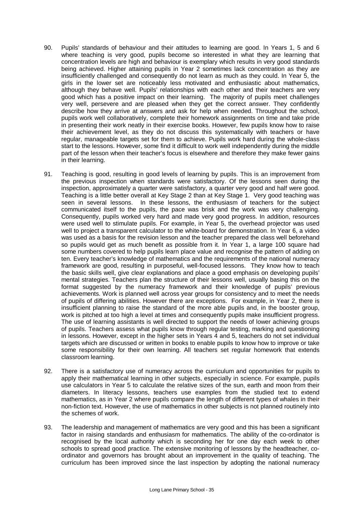- 90. Pupils' standards of behaviour and their attitudes to learning are good. In Years 1, 5 and 6 where teaching is very good, pupils become so interested in what they are learning that concentration levels are high and behaviour is exemplary which results in very good standards being achieved. Higher attaining pupils in Year 2 sometimes lack concentration as they are insufficiently challenged and consequently do not learn as much as they could. In Year 5, the girls in the lower set are noticeably less motivated and enthusiastic about mathematics, although they behave well. Pupils' relationships with each other and their teachers are very good which has a positive impact on their learning. The majority of pupils meet challenges very well, persevere and are pleased when they get the correct answer. They confidently describe how they arrive at answers and ask for help when needed. Throughout the school, pupils work well collaboratively, complete their homework assignments on time and take pride in presenting their work neatly in their exercise books. However, few pupils know how to raise their achievement level, as they do not discuss this systematically with teachers or have regular, manageable targets set for them to achieve. Pupils work hard during the whole-class start to the lessons. However, some find it difficult to work well independently during the middle part of the lesson when their teacher's focus is elsewhere and therefore they make fewer gains in their learning.
- 91. Teaching is good, resulting in good levels of learning by pupils. This is an improvement from the previous inspection when standards were satisfactory. Of the lessons seen during the inspection, approximately a quarter were satisfactory, a quarter very good and half were good. Teaching is a little better overall at Key Stage 2 than at Key Stage 1. Very good teaching was seen in several lessons. In these lessons, the enthusiasm of teachers for the subject communicated itself to the pupils, the pace was brisk and the work was very challenging. Consequently, pupils worked very hard and made very good progress. In addition, resources were used well to stimulate pupils. For example, in Year 5, the overhead projector was used well to project a transparent calculator to the white-board for demonstration. In Year 6, a video was used as a basis for the revision lesson and the teacher prepared the class well beforehand so pupils would get as much benefit as possible from it. In Year 1, a large 100 square had some numbers covered to help pupils learn place value and recognise the pattern of adding on ten. Every teacher's knowledge of mathematics and the requirements of the national numeracy framework are good, resulting in purposeful, well-focused lessons. They know how to teach the basic skills well, give clear explanations and place a good emphasis on developing pupils' mental strategies. Teachers plan the structure of their lessons well, usually basing this on the format suggested by the numeracy framework and their knowledge of pupils' previous achievements. Work is planned well across year groups for consistency and to meet the needs of pupils of differing abilities. However there are exceptions. For example, in Year 2, there is insufficient planning to raise the standard of the more able pupils and, in the booster group, work is pitched at too high a level at times and consequently pupils make insufficient progress. The use of learning assistants is well directed to support the needs of lower achieving groups of pupils. Teachers assess what pupils know through regular testing, marking and questioning in lessons. However, except in the higher sets in Years 4 and 5, teachers do not set individual targets which are discussed or written in books to enable pupils to know how to improve or take some responsibility for their own learning. All teachers set regular homework that extends classroom learning.
- 92. There is a satisfactory use of numeracy across the curriculum and opportunities for pupils to apply their mathematical learning in other subjects, especially in science. For example, pupils use calculators in Year 5 to calculate the relative sizes of the sun, earth and moon from their diameters. In literacy lessons, teachers use examples from the studied text to extend mathematics, as in Year 2 where pupils compare the length of different types of whales in their non-fiction text. However, the use of mathematics in other subjects is not planned routinely into the schemes of work.
- 93. The leadership and management of mathematics are very good and this has been a significant factor in raising standards and enthusiasm for mathematics. The ability of the co-ordinator is recognised by the local authority which is seconding her for one day each week to other schools to spread good practice. The extensive monitoring of lessons by the headteacher, coordinator and governors has brought about an improvement in the quality of teaching. The curriculum has been improved since the last inspection by adopting the national numeracy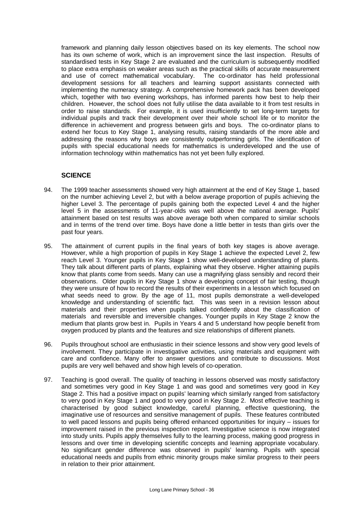framework and planning daily lesson objectives based on its key elements. The school now has its own scheme of work, which is an improvement since the last inspection. Results of standardised tests in Key Stage 2 are evaluated and the curriculum is subsequently modified to place extra emphasis on weaker areas such as the practical skills of accurate measurement and use of correct mathematical vocabulary. The co-ordinator has held professional development sessions for all teachers and learning support assistants connected with implementing the numeracy strategy. A comprehensive homework pack has been developed which, together with two evening workshops, has informed parents how best to help their children. However, the school does not fully utilise the data available to it from test results in order to raise standards. For example, it is used insufficiently to set long-term targets for individual pupils and track their development over their whole school life or to monitor the difference in achievement and progress between girls and boys. The co-ordinator plans to extend her focus to Key Stage 1, analysing results, raising standards of the more able and addressing the reasons why boys are consistently outperforming girls. The identification of pupils with special educational needs for mathematics is underdeveloped and the use of information technology within mathematics has not yet been fully explored.

## **SCIENCE**

- 94. The 1999 teacher assessments showed very high attainment at the end of Key Stage 1, based on the number achieving Level 2, but with a below average proportion of pupils achieving the higher Level 3. The percentage of pupils gaining both the expected Level 4 and the higher level 5 in the assessments of 11-year-olds was well above the national average. Pupils' attainment based on test results was above average both when compared to similar schools and in terms of the trend over time. Boys have done a little better in tests than girls over the past four years.
- 95. The attainment of current pupils in the final years of both key stages is above average. However, while a high proportion of pupils in Key Stage 1 achieve the expected Level 2, few reach Level 3. Younger pupils in Key Stage 1 show well-developed understanding of plants. They talk about different parts of plants, explaining what they observe. Higher attaining pupils know that plants come from seeds. Many can use a magnifying glass sensibly and record their observations. Older pupils in Key Stage 1 show a developing concept of fair testing, though they were unsure of how to record the results of their experiments in a lesson which focused on what seeds need to grow. By the age of 11, most pupils demonstrate a well-developed knowledge and understanding of scientific fact. This was seen in a revision lesson about materials and their properties when pupils talked confidently about the classification of materials and reversible and irreversible changes. Younger pupils in Key Stage 2 know the medium that plants grow best in. Pupils in Years 4 and 5 understand how people benefit from oxygen produced by plants and the features and size relationships of different planets.
- 96. Pupils throughout school are enthusiastic in their science lessons and show very good levels of involvement. They participate in investigative activities, using materials and equipment with care and confidence. Many offer to answer questions and contribute to discussions. Most pupils are very well behaved and show high levels of co-operation.
- 97. Teaching is good overall. The quality of teaching in lessons observed was mostly satisfactory and sometimes very good in Key Stage 1 and was good and sometimes very good in Key Stage 2. This had a positive impact on pupils' learning which similarly ranged from satisfactory to very good in Key Stage 1 and good to very good in Key Stage 2. Most effective teaching is characterised by good subject knowledge, careful planning, effective questioning, the imaginative use of resources and sensitive management of pupils. These features contributed to well paced lessons and pupils being offered enhanced opportunities for inquiry – issues for improvement raised in the previous inspection report. Investigative science is now integrated into study units. Pupils apply themselves fully to the learning process, making good progress in lessons and over time in developing scientific concepts and learning appropriate vocabulary. No significant gender difference was observed in pupils' learning. Pupils with special educational needs and pupils from ethnic minority groups make similar progress to their peers in relation to their prior attainment.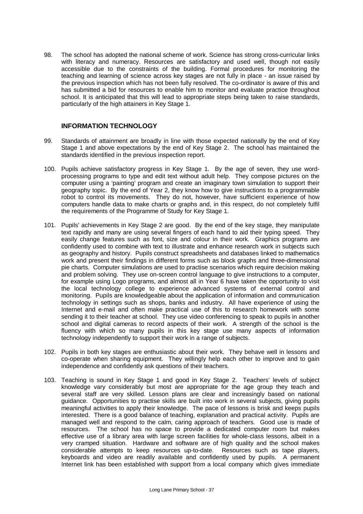98. The school has adopted the national scheme of work. Science has strong cross-curricular links with literacy and numeracy. Resources are satisfactory and used well, though not easily accessible due to the constraints of the building. Formal procedures for monitoring the teaching and learning of science across key stages are not fully in place - an issue raised by the previous inspection which has not been fully resolved. The co-ordinator is aware of this and has submitted a bid for resources to enable him to monitor and evaluate practice throughout school. It is anticipated that this will lead to appropriate steps being taken to raise standards, particularly of the high attainers in Key Stage 1.

## **INFORMATION TECHNOLOGY**

- 99. Standards of attainment are broadly in line with those expected nationally by the end of Key Stage 1 and above expectations by the end of Key Stage 2. The school has maintained the standards identified in the previous inspection report.
- 100. Pupils achieve satisfactory progress in Key Stage 1. By the age of seven, they use wordprocessing programs to type and edit text without adult help. They compose pictures on the computer using a 'painting' program and create an imaginary town simulation to support their geography topic. By the end of Year 2, they know how to give instructions to a programmable robot to control its movements. They do not, however, have sufficient experience of how computers handle data to make charts or graphs and, in this respect, do not completely fulfil the requirements of the Programme of Study for Key Stage 1.
- 101. Pupils' achievements in Key Stage 2 are good. By the end of the key stage, they manipulate text rapidly and many are using several fingers of each hand to aid their typing speed. They easily change features such as font, size and colour in their work. Graphics programs are confidently used to combine with text to illustrate and enhance research work in subjects such as geography and history. Pupils construct spreadsheets and databases linked to mathematics work and present their findings in different forms such as block graphs and three-dimensional pie charts. Computer simulations are used to practise scenarios which require decision making and problem solving. They use on-screen control language to give instructions to a computer, for example using Logo programs, and almost all in Year 6 have taken the opportunity to visit the local technology college to experience advanced systems of external control and monitoring. Pupils are knowledgeable about the application of information and communication technology in settings such as shops, banks and industry. All have experience of using the Internet and e-mail and often make practical use of this to research homework with some sending it to their teacher at school. They use video conferencing to speak to pupils in another school and digital cameras to record aspects of their work. A strength of the school is the fluency with which so many pupils in this key stage use many aspects of information technology independently to support their work in a range of subjects.
- 102. Pupils in both key stages are enthusiastic about their work. They behave well in lessons and co-operate when sharing equipment. They willingly help each other to improve and to gain independence and confidently ask questions of their teachers.
- 103. Teaching is sound in Key Stage 1 and good in Key Stage 2. Teachers' levels of subject knowledge vary considerably but most are appropriate for the age group they teach and several staff are very skilled. Lesson plans are clear and increasingly based on national guidance. Opportunities to practise skills are built into work in several subjects, giving pupils meaningful activities to apply their knowledge. The pace of lessons is brisk and keeps pupils interested. There is a good balance of teaching, explanation and practical activity. Pupils are managed well and respond to the calm, caring approach of teachers. Good use is made of resources. The school has no space to provide a dedicated computer room but makes effective use of a library area with large screen facilities for whole-class lessons, albeit in a very cramped situation. Hardware and software are of high quality and the school makes considerable attempts to keep resources up-to-date. Resources such as tape players, keyboards and video are readily available and confidently used by pupils. A permanent Internet link has been established with support from a local company which gives immediate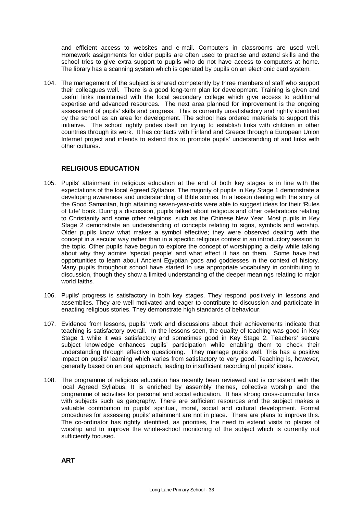and efficient access to websites and e-mail. Computers in classrooms are used well. Homework assignments for older pupils are often used to practise and extend skills and the school tries to give extra support to pupils who do not have access to computers at home. The library has a scanning system which is operated by pupils on an electronic card system.

104. The management of the subject is shared competently by three members of staff who support their colleagues well. There is a good long-term plan for development. Training is given and useful links maintained with the local secondary college which give access to additional expertise and advanced resources. The next area planned for improvement is the ongoing assessment of pupils' skills and progress. This is currently unsatisfactory and rightly identified by the school as an area for development. The school has ordered materials to support this initiative. The school rightly prides itself on trying to establish links with children in other countries through its work. It has contacts with Finland and Greece through a European Union Internet project and intends to extend this to promote pupils' understanding of and links with other cultures.

# **RELIGIOUS EDUCATION**

- 105. Pupils' attainment in religious education at the end of both key stages is in line with the expectations of the local Agreed Syllabus. The majority of pupils in Key Stage 1 demonstrate a developing awareness and understanding of Bible stories. In a lesson dealing with the story of the Good Samaritan, high attaining seven-year-olds were able to suggest ideas for their 'Rules of Life' book. During a discussion, pupils talked about religious and other celebrations relating to Christianity and some other religions, such as the Chinese New Year. Most pupils in Key Stage 2 demonstrate an understanding of concepts relating to signs, symbols and worship. Older pupils know what makes a symbol effective; they were observed dealing with the concept in a secular way rather than in a specific religious context in an introductory session to the topic. Other pupils have begun to explore the concept of worshipping a deity while talking about why they admire 'special people' and what effect it has on them. Some have had opportunities to learn about Ancient Egyptian gods and goddesses in the context of history. Many pupils throughout school have started to use appropriate vocabulary in contributing to discussion, though they show a limited understanding of the deeper meanings relating to major world faiths.
- 106. Pupils' progress is satisfactory in both key stages. They respond positively in lessons and assemblies. They are well motivated and eager to contribute to discussion and participate in enacting religious stories. They demonstrate high standards of behaviour.
- 107. Evidence from lessons, pupils' work and discussions about their achievements indicate that teaching is satisfactory overall. In the lessons seen, the quality of teaching was good in Key Stage 1 while it was satisfactory and sometimes good in Key Stage 2. Teachers' secure subject knowledge enhances pupils' participation while enabling them to check their understanding through effective questioning. They manage pupils well. This has a positive impact on pupils' learning which varies from satisfactory to very good. Teaching is, however, generally based on an oral approach, leading to insufficient recording of pupils' ideas.
- 108. The programme of religious education has recently been reviewed and is consistent with the local Agreed Syllabus. It is enriched by assembly themes, collective worship and the programme of activities for personal and social education. It has strong cross-curricular links with subjects such as geography. There are sufficient resources and the subject makes a valuable contribution to pupils' spiritual, moral, social and cultural development. Formal procedures for assessing pupils' attainment are not in place. There are plans to improve this. The co-ordinator has rightly identified, as priorities, the need to extend visits to places of worship and to improve the whole-school monitoring of the subject which is currently not sufficiently focused.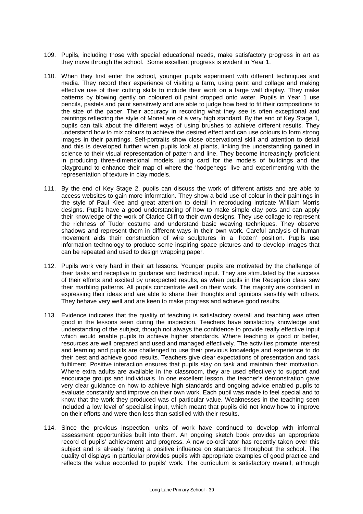- 109. Pupils, including those with special educational needs, make satisfactory progress in art as they move through the school. Some excellent progress is evident in Year 1.
- 110. When they first enter the school, younger pupils experiment with different techniques and media. They record their experience of visiting a farm, using paint and collage and making effective use of their cutting skills to include their work on a large wall display. They make patterns by blowing gently on coloured oil paint dropped onto water. Pupils in Year 1 use pencils, pastels and paint sensitively and are able to judge how best to fit their compositions to the size of the paper. Their accuracy in recording what they see is often exceptional and paintings reflecting the style of Monet are of a very high standard. By the end of Key Stage 1, pupils can talk about the different ways of using brushes to achieve different results. They understand how to mix colours to achieve the desired effect and can use colours to form strong images in their paintings. Self-portraits show close observational skill and attention to detail and this is developed further when pupils look at plants, linking the understanding gained in science to their visual representation of pattern and line. They become increasingly proficient in producing three-dimensional models, using card for the models of buildings and the playground to enhance their map of where the 'hodgehegs' live and experimenting with the representation of texture in clay models.
- 111. By the end of Key Stage 2, pupils can discuss the work of different artists and are able to access websites to gain more information. They show a bold use of colour in their paintings in the style of Paul Klee and great attention to detail in reproducing intricate William Morris designs. Pupils have a good understanding of how to make simple clay pots and can apply their knowledge of the work of Clarice Cliff to their own designs. They use collage to represent the richness of Tudor costume and understand basic weaving techniques. They observe shadows and represent them in different ways in their own work. Careful analysis of human movement aids their construction of wire sculptures in a 'frozen' position. Pupils use information technology to produce some inspiring space pictures and to develop images that can be repeated and used to design wrapping paper.
- 112. Pupils work very hard in their art lessons. Younger pupils are motivated by the challenge of their tasks and receptive to guidance and technical input. They are stimulated by the success of their efforts and excited by unexpected results, as when pupils in the Reception class saw their marbling patterns. All pupils concentrate well on their work. The majority are confident in expressing their ideas and are able to share their thoughts and opinions sensibly with others. They behave very well and are keen to make progress and achieve good results.
- 113. Evidence indicates that the quality of teaching is satisfactory overall and teaching was often good in the lessons seen during the inspection. Teachers have satisfactory knowledge and understanding of the subject, though not always the confidence to provide really effective input which would enable pupils to achieve higher standards. Where teaching is good or better, resources are well prepared and used and managed effectively. The activities promote interest and learning and pupils are challenged to use their previous knowledge and experience to do their best and achieve good results. Teachers give clear expectations of presentation and task fulfilment. Positive interaction ensures that pupils stay on task and maintain their motivation. Where extra adults are available in the classroom, they are used effectively to support and encourage groups and individuals. In one excellent lesson, the teacher's demonstration gave very clear guidance on how to achieve high standards and ongoing advice enabled pupils to evaluate constantly and improve on their own work. Each pupil was made to feel special and to know that the work they produced was of particular value. Weaknesses in the teaching seen included a low level of specialist input, which meant that pupils did not know how to improve on their efforts and were then less than satisfied with their results.
- 114. Since the previous inspection, units of work have continued to develop with informal assessment opportunities built into them. An ongoing sketch book provides an appropriate record of pupils' achievement and progress. A new co-ordinator has recently taken over this subject and is already having a positive influence on standards throughout the school. The quality of displays in particular provides pupils with appropriate examples of good practice and reflects the value accorded to pupils' work. The curriculum is satisfactory overall, although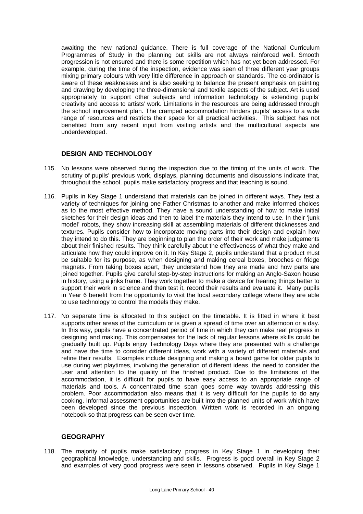awaiting the new national guidance. There is full coverage of the National Curriculum Programmes of Study in the planning but skills are not always reinforced well. Smooth progression is not ensured and there is some repetition which has not yet been addressed. For example, during the time of the inspection, evidence was seen of three different year groups mixing primary colours with very little difference in approach or standards. The co-ordinator is aware of these weaknesses and is also seeking to balance the present emphasis on painting and drawing by developing the three-dimensional and textile aspects of the subject. Art is used appropriately to support other subjects and information technology is extending pupils' creativity and access to artists' work. Limitations in the resources are being addressed through the school improvement plan. The cramped accommodation hinders pupils' access to a wide range of resources and restricts their space for all practical activities. This subject has not benefited from any recent input from visiting artists and the multicultural aspects are underdeveloped.

## **DESIGN AND TECHNOLOGY**

- 115. No lessons were observed during the inspection due to the timing of the units of work. The scrutiny of pupils' previous work, displays, planning documents and discussions indicate that, throughout the school, pupils make satisfactory progress and that teaching is sound.
- 116. Pupils in Key Stage 1 understand that materials can be joined in different ways. They test a variety of techniques for joining one Father Christmas to another and make informed choices as to the most effective method. They have a sound understanding of how to make initial sketches for their design ideas and then to label the materials they intend to use. In their 'junk model' robots, they show increasing skill at assembling materials of different thicknesses and textures. Pupils consider how to incorporate moving parts into their design and explain how they intend to do this. They are beginning to plan the order of their work and make judgements about their finished results. They think carefully about the effectiveness of what they make and articulate how they could improve on it. In Key Stage 2, pupils understand that a product must be suitable for its purpose, as when designing and making cereal boxes, brooches or fridge magnets. From taking boxes apart, they understand how they are made and how parts are joined together. Pupils give careful step-by-step instructions for making an Anglo-Saxon house in history, using a jinks frame. They work together to make a device for hearing things better to support their work in science and then test it, record their results and evaluate it. Many pupils in Year 6 benefit from the opportunity to visit the local secondary college where they are able to use technology to control the models they make.
- 117. No separate time is allocated to this subject on the timetable. It is fitted in where it best supports other areas of the curriculum or is given a spread of time over an afternoon or a day. In this way, pupils have a concentrated period of time in which they can make real progress in designing and making. This compensates for the lack of regular lessons where skills could be gradually built up. Pupils enjoy Technology Days where they are presented with a challenge and have the time to consider different ideas, work with a variety of different materials and refine their results. Examples include designing and making a board game for older pupils to use during wet playtimes, involving the generation of different ideas, the need to consider the user and attention to the quality of the finished product. Due to the limitations of the accommodation, it is difficult for pupils to have easy access to an appropriate range of materials and tools. A concentrated time span goes some way towards addressing this problem. Poor accommodation also means that it is very difficult for the pupils to do any cooking. Informal assessment opportunities are built into the planned units of work which have been developed since the previous inspection. Written work is recorded in an ongoing notebook so that progress can be seen over time.

## **GEOGRAPHY**

118. The majority of pupils make satisfactory progress in Key Stage 1 in developing their geographical knowledge, understanding and skills. Progress is good overall in Key Stage 2 and examples of very good progress were seen in lessons observed. Pupils in Key Stage 1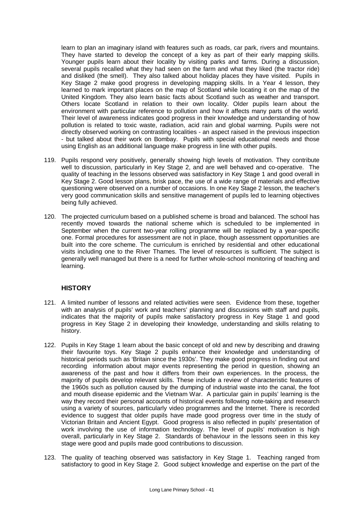learn to plan an imaginary island with features such as roads, car park, rivers and mountains. They have started to develop the concept of a key as part of their early mapping skills. Younger pupils learn about their locality by visiting parks and farms. During a discussion, several pupils recalled what they had seen on the farm and what they liked (the tractor ride) and disliked (the smell). They also talked about holiday places they have visited. Pupils in Key Stage 2 make good progress in developing mapping skills. In a Year 4 lesson, they learned to mark important places on the map of Scotland while locating it on the map of the United Kingdom. They also learn basic facts about Scotland such as weather and transport. Others locate Scotland in relation to their own locality. Older pupils learn about the environment with particular reference to pollution and how it affects many parts of the world. Their level of awareness indicates good progress in their knowledge and understanding of how pollution is related to toxic waste, radiation, acid rain and global warming. Pupils were not directly observed working on contrasting localities - an aspect raised in the previous inspection - but talked about their work on Bombay. Pupils with special educational needs and those using English as an additional language make progress in line with other pupils.

- 119. Pupils respond very positively, generally showing high levels of motivation. They contribute well to discussion, particularly in Key Stage 2, and are well behaved and co-operative. The quality of teaching in the lessons observed was satisfactory in Key Stage 1 and good overall in Key Stage 2. Good lesson plans, brisk pace, the use of a wide range of materials and effective questioning were observed on a number of occasions. In one Key Stage 2 lesson, the teacher's very good communication skills and sensitive management of pupils led to learning objectives being fully achieved.
- 120. The projected curriculum based on a published scheme is broad and balanced. The school has recently moved towards the national scheme which is scheduled to be implemented in September when the current two-year rolling programme will be replaced by a year-specific one. Formal procedures for assessment are not in place, though assessment opportunities are built into the core scheme. The curriculum is enriched by residential and other educational visits including one to the River Thames. The level of resources is sufficient*.* The subject is generally well managed but there is a need for further whole-school monitoring of teaching and learning.

## **HISTORY**

- 121. A limited number of lessons and related activities were seen. Evidence from these, together with an analysis of pupils' work and teachers' planning and discussions with staff and pupils, indicates that the majority of pupils make satisfactory progress in Key Stage 1 and good progress in Key Stage 2 in developing their knowledge, understanding and skills relating to history.
- 122. Pupils in Key Stage 1 learn about the basic concept of old and new by describing and drawing their favourite toys. Key Stage 2 pupils enhance their knowledge and understanding of historical periods such as 'Britain since the 1930s'. They make good progress in finding out and recording information about major events representing the period in question, showing an awareness of the past and how it differs from their own experiences. In the process, the majority of pupils develop relevant skills. These include a review of characteristic features of the 1960s such as pollution caused by the dumping of industrial waste into the canal, the foot and mouth disease epidemic and the Vietnam War. A particular gain in pupils' learning is the way they record their personal accounts of historical events following note-taking and research using a variety of sources, particularly video programmes and the Internet. There is recorded evidence to suggest that older pupils have made good progress over time in the study of Victorian Britain and Ancient Egypt. Good progress is also reflected in pupils' presentation of work involving the use of information technology. The level of pupils' motivation is high overall, particularly in Key Stage 2. Standards of behaviour in the lessons seen in this key stage were good and pupils made good contributions to discussion.
- 123. The quality of teaching observed was satisfactory in Key Stage 1. Teaching ranged from satisfactory to good in Key Stage 2. Good subject knowledge and expertise on the part of the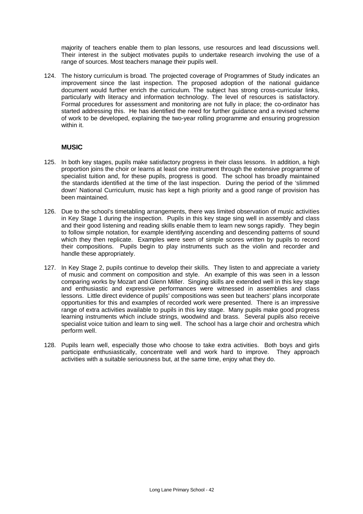majority of teachers enable them to plan lessons, use resources and lead discussions well. Their interest in the subject motivates pupils to undertake research involving the use of a range of sources. Most teachers manage their pupils well.

124. The history curriculum is broad*.* The projected coverage of Programmes of Study indicates an improvement since the last inspection. The proposed adoption of the national guidance document would further enrich the curriculum. The subject has strong cross-curricular links, particularly with literacy and information technology. The level of resources is satisfactory. Formal procedures for assessment and monitoring are not fully in place; the co-ordinator has started addressing this. He has identified the need for further guidance and a revised scheme of work to be developed, explaining the two-year rolling programme and ensuring progression within it.

## **MUSIC**

- 125. In both key stages, pupils make satisfactory progress in their class lessons. In addition, a high proportion joins the choir or learns at least one instrument through the extensive programme of specialist tuition and, for these pupils, progress is good. The school has broadly maintained the standards identified at the time of the last inspection. During the period of the 'slimmed down' National Curriculum, music has kept a high priority and a good range of provision has been maintained.
- 126. Due to the school's timetabling arrangements, there was limited observation of music activities in Key Stage 1 during the inspection. Pupils in this key stage sing well in assembly and class and their good listening and reading skills enable them to learn new songs rapidly. They begin to follow simple notation, for example identifying ascending and descending patterns of sound which they then replicate. Examples were seen of simple scores written by pupils to record their compositions. Pupils begin to play instruments such as the violin and recorder and handle these appropriately.
- 127. In Key Stage 2, pupils continue to develop their skills. They listen to and appreciate a variety of music and comment on composition and style. An example of this was seen in a lesson comparing works by Mozart and Glenn Miller. Singing skills are extended well in this key stage and enthusiastic and expressive performances were witnessed in assemblies and class lessons. Little direct evidence of pupils' compositions was seen but teachers' plans incorporate opportunities for this and examples of recorded work were presented. There is an impressive range of extra activities available to pupils in this key stage. Many pupils make good progress learning instruments which include strings, woodwind and brass. Several pupils also receive specialist voice tuition and learn to sing well. The school has a large choir and orchestra which perform well.
- 128. Pupils learn well, especially those who choose to take extra activities. Both boys and girls participate enthusiastically, concentrate well and work hard to improve. They approach activities with a suitable seriousness but, at the same time, enjoy what they do.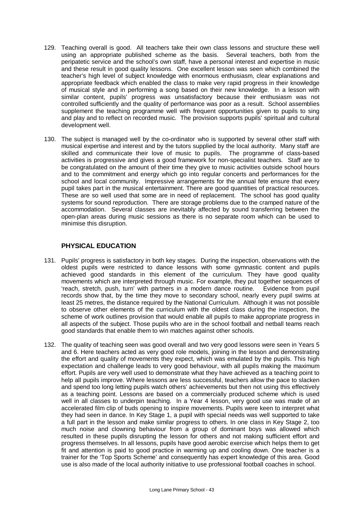- 129. Teaching overall is good. All teachers take their own class lessons and structure these well using an appropriate published scheme as the basis. Several teachers, both from the peripatetic service and the school's own staff, have a personal interest and expertise in music and these result in good quality lessons. One excellent lesson was seen which combined the teacher's high level of subject knowledge with enormous enthusiasm, clear explanations and appropriate feedback which enabled the class to make very rapid progress in their knowledge of musical style and in performing a song based on their new knowledge. In a lesson with similar content, pupils' progress was unsatisfactory because their enthusiasm was not controlled sufficiently and the quality of performance was poor as a result. School assemblies supplement the teaching programme well with frequent opportunities given to pupils to sing and play and to reflect on recorded music. The provision supports pupils' spiritual and cultural development well.
- 130. The subject is managed well by the co-ordinator who is supported by several other staff with musical expertise and interest and by the tutors supplied by the local authority. Many staff are skilled and communicate their love of music to pupils. The programme of class-based activities is progressive and gives a good framework for non-specialist teachers. Staff are to be congratulated on the amount of their time they give to music activities outside school hours and to the commitment and energy which go into regular concerts and performances for the school and local community. Impressive arrangements for the annual fete ensure that every pupil takes part in the musical entertainment. There are good quantities of practical resources. These are so well used that some are in need of replacement. The school has good quality systems for sound reproduction. There are storage problems due to the cramped nature of the accommodation. Several classes are inevitably affected by sound transferring between the open-plan areas during music sessions as there is no separate room which can be used to minimise this disruption.

## **PHYSICAL EDUCATION**

- 131. Pupils' progress is satisfactory in both key stages. During the inspection, observations with the oldest pupils were restricted to dance lessons with some gymnastic content and pupils achieved good standards in this element of the curriculum. They have good quality movements which are interpreted through music. For example, they put together sequences of 'reach, stretch, push, turn' with partners in a modern dance routine. Evidence from pupil records show that, by the time they move to secondary school, nearly every pupil swims at least 25 metres, the distance required by the National Curriculum. Although it was not possible to observe other elements of the curriculum with the oldest class during the inspection, the scheme of work outlines provision that would enable all pupils to make appropriate progress in all aspects of the subject. Those pupils who are in the school football and netball teams reach good standards that enable them to win matches against other schools.
- 132. The quality of teaching seen was good overall and two very good lessons were seen in Years 5 and 6. Here teachers acted as very good role models, joining in the lesson and demonstrating the effort and quality of movements they expect, which was emulated by the pupils. This high expectation and challenge leads to very good behaviour, with all pupils making the maximum effort. Pupils are very well used to demonstrate what they have achieved as a teaching point to help all pupils improve. Where lessons are less successful, teachers allow the pace to slacken and spend too long letting pupils watch others' achievements but then not using this effectively as a teaching point. Lessons are based on a commercially produced scheme which is used well in all classes to underpin teaching. In a Year 4 lesson, very good use was made of an accelerated film clip of buds opening to inspire movements. Pupils were keen to interpret what they had seen in dance. In Key Stage 1, a pupil with special needs was well supported to take a full part in the lesson and make similar progress to others. In one class in Key Stage 2, too much noise and clowning behaviour from a group of dominant boys was allowed which resulted in these pupils disrupting the lesson for others and not making sufficient effort and progress themselves. In all lessons, pupils have good aerobic exercise which helps them to get fit and attention is paid to good practice in warming up and cooling down. One teacher is a trainer for the 'Top Sports Scheme' and consequently has expert knowledge of this area. Good use is also made of the local authority initiative to use professional football coaches in school.